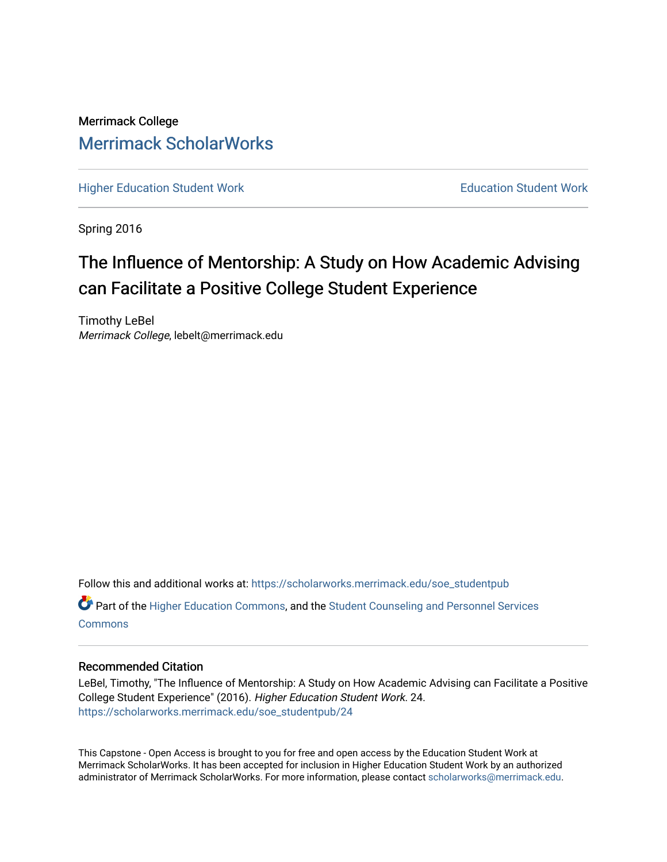# Merrimack College [Merrimack ScholarWorks](https://scholarworks.merrimack.edu/)

[Higher Education Student Work](https://scholarworks.merrimack.edu/soe_studentpub) **Education Student Work** Education Student Work

Spring 2016

# The Influence of Mentorship: A Study on How Academic Advising can Facilitate a Positive College Student Experience

Timothy LeBel Merrimack College, lebelt@merrimack.edu

Follow this and additional works at: [https://scholarworks.merrimack.edu/soe\\_studentpub](https://scholarworks.merrimack.edu/soe_studentpub?utm_source=scholarworks.merrimack.edu%2Fsoe_studentpub%2F24&utm_medium=PDF&utm_campaign=PDFCoverPages) 

Part of the [Higher Education Commons,](http://network.bepress.com/hgg/discipline/1245?utm_source=scholarworks.merrimack.edu%2Fsoe_studentpub%2F24&utm_medium=PDF&utm_campaign=PDFCoverPages) and the [Student Counseling and Personnel Services](http://network.bepress.com/hgg/discipline/802?utm_source=scholarworks.merrimack.edu%2Fsoe_studentpub%2F24&utm_medium=PDF&utm_campaign=PDFCoverPages)  **[Commons](http://network.bepress.com/hgg/discipline/802?utm_source=scholarworks.merrimack.edu%2Fsoe_studentpub%2F24&utm_medium=PDF&utm_campaign=PDFCoverPages)** 

### Recommended Citation

LeBel, Timothy, "The Influence of Mentorship: A Study on How Academic Advising can Facilitate a Positive College Student Experience" (2016). Higher Education Student Work. 24. [https://scholarworks.merrimack.edu/soe\\_studentpub/24](https://scholarworks.merrimack.edu/soe_studentpub/24?utm_source=scholarworks.merrimack.edu%2Fsoe_studentpub%2F24&utm_medium=PDF&utm_campaign=PDFCoverPages) 

This Capstone - Open Access is brought to you for free and open access by the Education Student Work at Merrimack ScholarWorks. It has been accepted for inclusion in Higher Education Student Work by an authorized administrator of Merrimack ScholarWorks. For more information, please contact [scholarworks@merrimack.edu](mailto:scholarworks@merrimack.edu).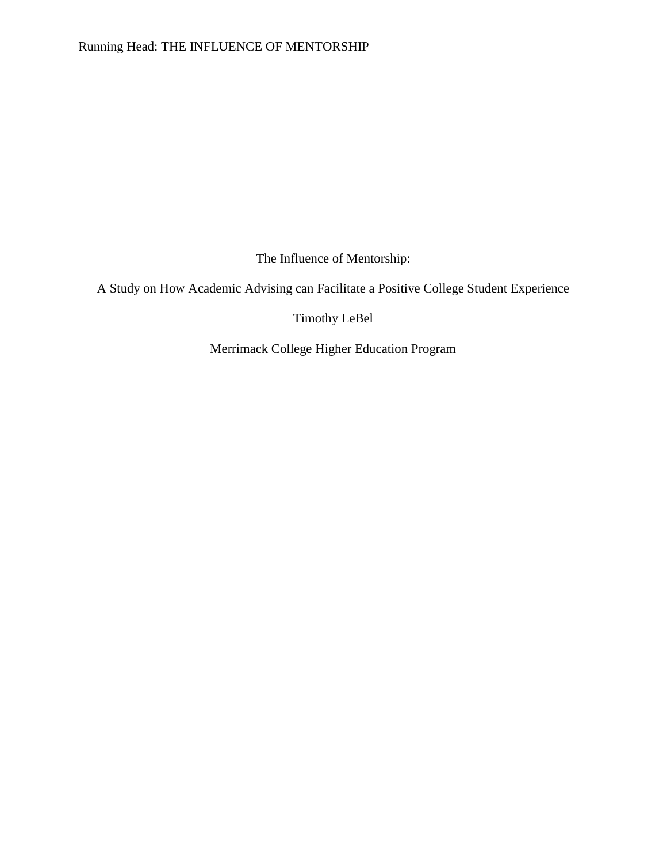The Influence of Mentorship:

A Study on How Academic Advising can Facilitate a Positive College Student Experience

Timothy LeBel

Merrimack College Higher Education Program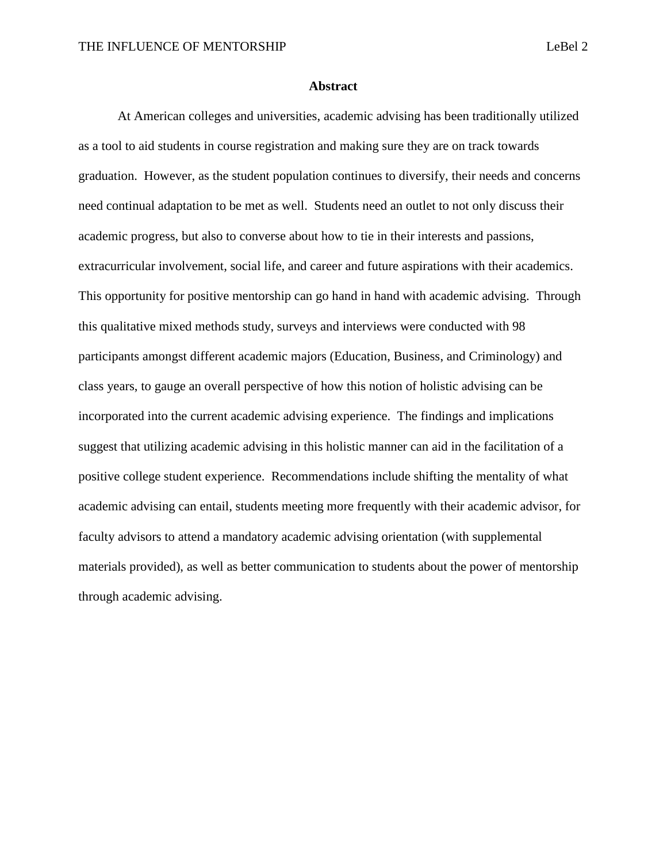#### **Abstract**

At American colleges and universities, academic advising has been traditionally utilized as a tool to aid students in course registration and making sure they are on track towards graduation. However, as the student population continues to diversify, their needs and concerns need continual adaptation to be met as well. Students need an outlet to not only discuss their academic progress, but also to converse about how to tie in their interests and passions, extracurricular involvement, social life, and career and future aspirations with their academics. This opportunity for positive mentorship can go hand in hand with academic advising. Through this qualitative mixed methods study, surveys and interviews were conducted with 98 participants amongst different academic majors (Education, Business, and Criminology) and class years, to gauge an overall perspective of how this notion of holistic advising can be incorporated into the current academic advising experience. The findings and implications suggest that utilizing academic advising in this holistic manner can aid in the facilitation of a positive college student experience. Recommendations include shifting the mentality of what academic advising can entail, students meeting more frequently with their academic advisor, for faculty advisors to attend a mandatory academic advising orientation (with supplemental materials provided), as well as better communication to students about the power of mentorship through academic advising.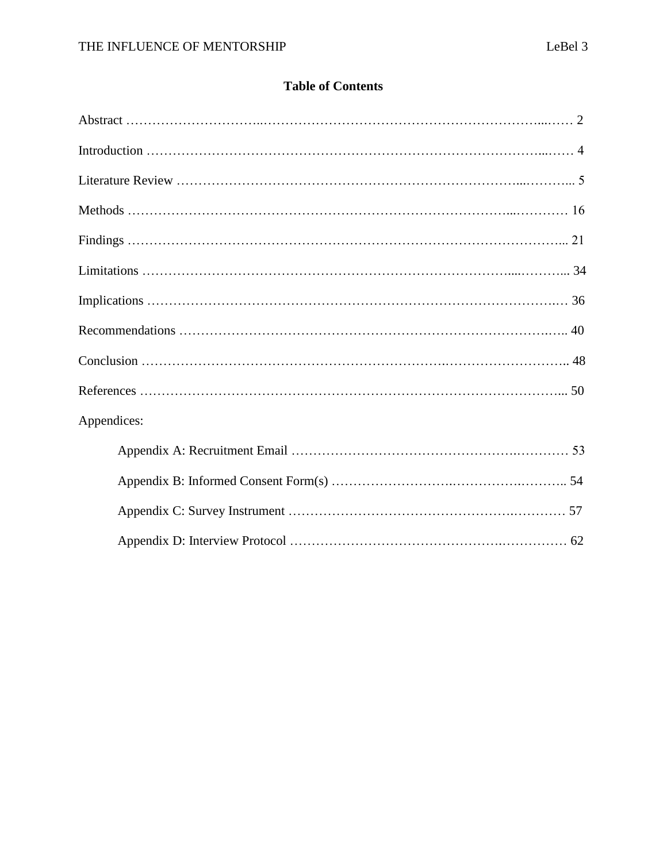## **Table of Contents**

| Appendices: |  |
|-------------|--|
|             |  |
|             |  |
|             |  |
|             |  |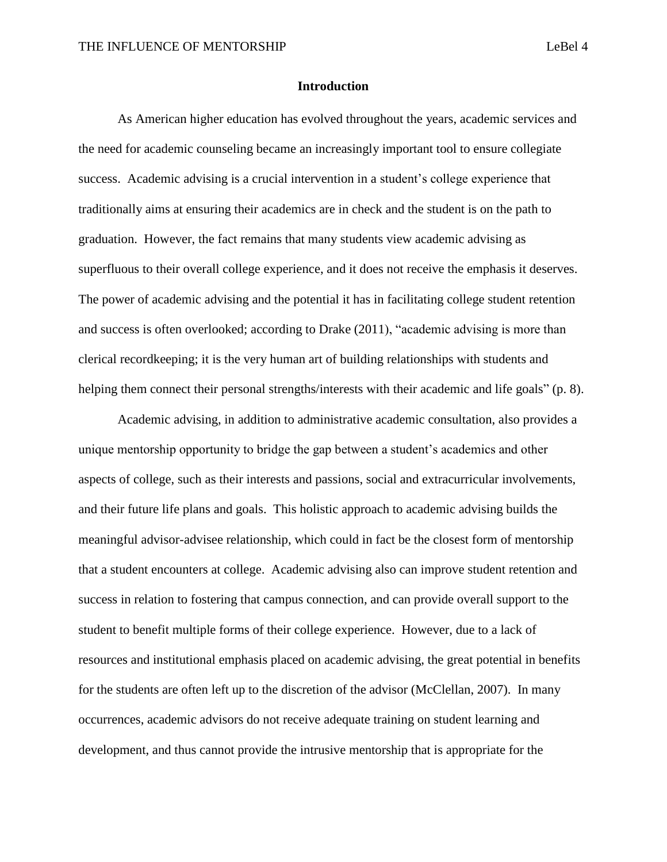#### **Introduction**

As American higher education has evolved throughout the years, academic services and the need for academic counseling became an increasingly important tool to ensure collegiate success. Academic advising is a crucial intervention in a student's college experience that traditionally aims at ensuring their academics are in check and the student is on the path to graduation. However, the fact remains that many students view academic advising as superfluous to their overall college experience, and it does not receive the emphasis it deserves. The power of academic advising and the potential it has in facilitating college student retention and success is often overlooked; according to Drake (2011), "academic advising is more than clerical recordkeeping; it is the very human art of building relationships with students and helping them connect their personal strengths/interests with their academic and life goals" (p. 8).

Academic advising, in addition to administrative academic consultation, also provides a unique mentorship opportunity to bridge the gap between a student's academics and other aspects of college, such as their interests and passions, social and extracurricular involvements, and their future life plans and goals. This holistic approach to academic advising builds the meaningful advisor-advisee relationship, which could in fact be the closest form of mentorship that a student encounters at college. Academic advising also can improve student retention and success in relation to fostering that campus connection, and can provide overall support to the student to benefit multiple forms of their college experience. However, due to a lack of resources and institutional emphasis placed on academic advising, the great potential in benefits for the students are often left up to the discretion of the advisor (McClellan, 2007). In many occurrences, academic advisors do not receive adequate training on student learning and development, and thus cannot provide the intrusive mentorship that is appropriate for the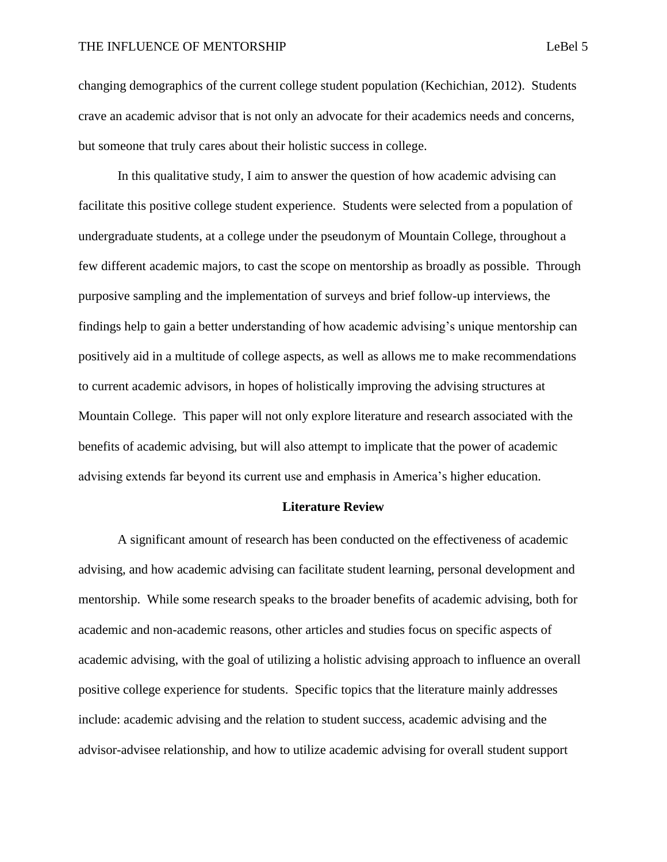changing demographics of the current college student population (Kechichian, 2012). Students crave an academic advisor that is not only an advocate for their academics needs and concerns, but someone that truly cares about their holistic success in college.

In this qualitative study, I aim to answer the question of how academic advising can facilitate this positive college student experience. Students were selected from a population of undergraduate students, at a college under the pseudonym of Mountain College, throughout a few different academic majors, to cast the scope on mentorship as broadly as possible. Through purposive sampling and the implementation of surveys and brief follow-up interviews, the findings help to gain a better understanding of how academic advising's unique mentorship can positively aid in a multitude of college aspects, as well as allows me to make recommendations to current academic advisors, in hopes of holistically improving the advising structures at Mountain College. This paper will not only explore literature and research associated with the benefits of academic advising, but will also attempt to implicate that the power of academic advising extends far beyond its current use and emphasis in America's higher education.

#### **Literature Review**

A significant amount of research has been conducted on the effectiveness of academic advising, and how academic advising can facilitate student learning, personal development and mentorship. While some research speaks to the broader benefits of academic advising, both for academic and non-academic reasons, other articles and studies focus on specific aspects of academic advising, with the goal of utilizing a holistic advising approach to influence an overall positive college experience for students. Specific topics that the literature mainly addresses include: academic advising and the relation to student success, academic advising and the advisor-advisee relationship, and how to utilize academic advising for overall student support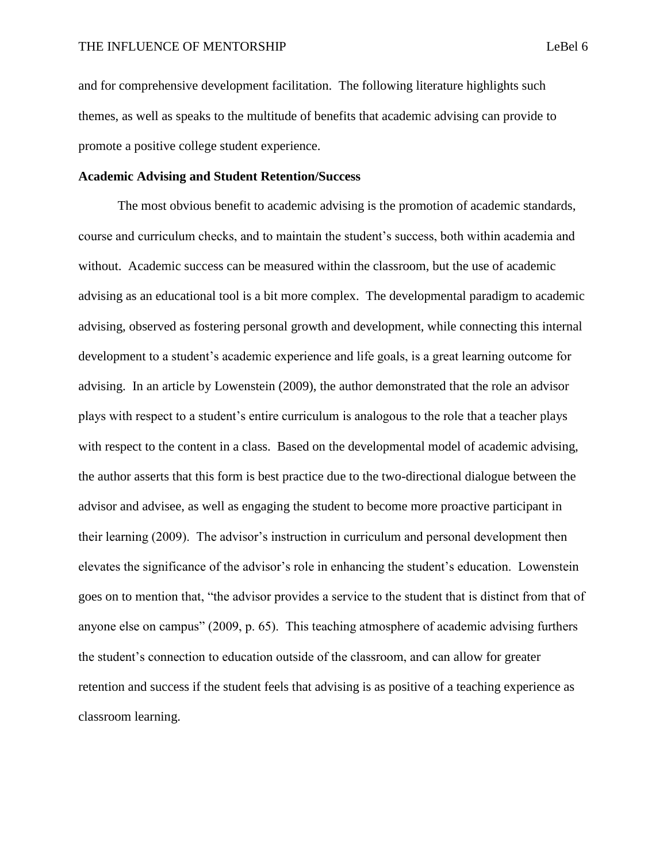and for comprehensive development facilitation. The following literature highlights such themes, as well as speaks to the multitude of benefits that academic advising can provide to promote a positive college student experience.

### **Academic Advising and Student Retention/Success**

The most obvious benefit to academic advising is the promotion of academic standards, course and curriculum checks, and to maintain the student's success, both within academia and without. Academic success can be measured within the classroom, but the use of academic advising as an educational tool is a bit more complex. The developmental paradigm to academic advising, observed as fostering personal growth and development, while connecting this internal development to a student's academic experience and life goals, is a great learning outcome for advising. In an article by Lowenstein (2009), the author demonstrated that the role an advisor plays with respect to a student's entire curriculum is analogous to the role that a teacher plays with respect to the content in a class. Based on the developmental model of academic advising, the author asserts that this form is best practice due to the two-directional dialogue between the advisor and advisee, as well as engaging the student to become more proactive participant in their learning (2009). The advisor's instruction in curriculum and personal development then elevates the significance of the advisor's role in enhancing the student's education. Lowenstein goes on to mention that, "the advisor provides a service to the student that is distinct from that of anyone else on campus" (2009, p. 65). This teaching atmosphere of academic advising furthers the student's connection to education outside of the classroom, and can allow for greater retention and success if the student feels that advising is as positive of a teaching experience as classroom learning.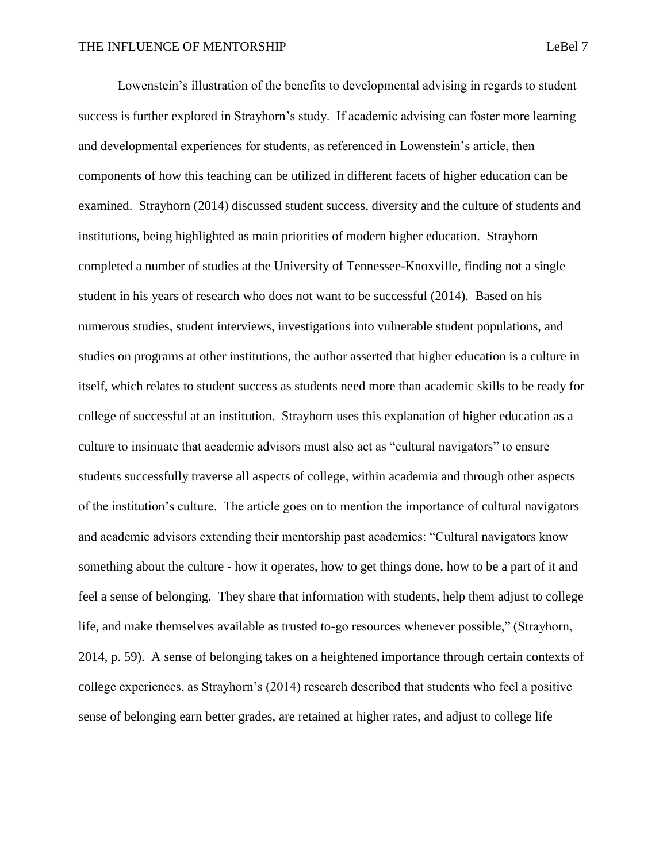Lowenstein's illustration of the benefits to developmental advising in regards to student success is further explored in Strayhorn's study. If academic advising can foster more learning and developmental experiences for students, as referenced in Lowenstein's article, then components of how this teaching can be utilized in different facets of higher education can be examined. Strayhorn (2014) discussed student success, diversity and the culture of students and institutions, being highlighted as main priorities of modern higher education. Strayhorn completed a number of studies at the University of Tennessee-Knoxville, finding not a single student in his years of research who does not want to be successful (2014). Based on his numerous studies, student interviews, investigations into vulnerable student populations, and studies on programs at other institutions, the author asserted that higher education is a culture in itself, which relates to student success as students need more than academic skills to be ready for college of successful at an institution. Strayhorn uses this explanation of higher education as a culture to insinuate that academic advisors must also act as "cultural navigators" to ensure students successfully traverse all aspects of college, within academia and through other aspects of the institution's culture. The article goes on to mention the importance of cultural navigators and academic advisors extending their mentorship past academics: "Cultural navigators know something about the culture - how it operates, how to get things done, how to be a part of it and feel a sense of belonging. They share that information with students, help them adjust to college life, and make themselves available as trusted to-go resources whenever possible," (Strayhorn, 2014, p. 59). A sense of belonging takes on a heightened importance through certain contexts of college experiences, as Strayhorn's (2014) research described that students who feel a positive

sense of belonging earn better grades, are retained at higher rates, and adjust to college life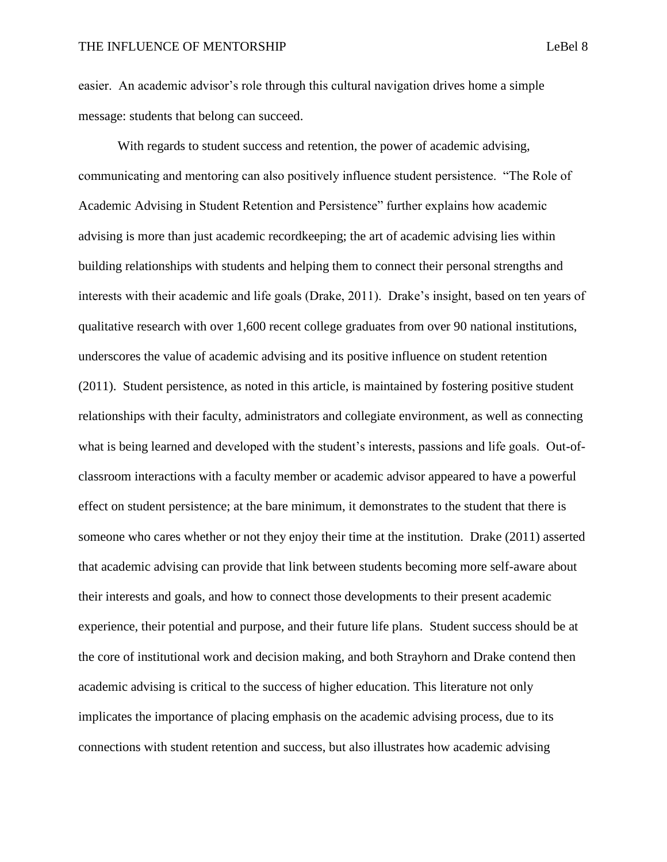easier. An academic advisor's role through this cultural navigation drives home a simple message: students that belong can succeed.

With regards to student success and retention, the power of academic advising, communicating and mentoring can also positively influence student persistence. "The Role of Academic Advising in Student Retention and Persistence" further explains how academic advising is more than just academic recordkeeping; the art of academic advising lies within building relationships with students and helping them to connect their personal strengths and interests with their academic and life goals (Drake, 2011). Drake's insight, based on ten years of qualitative research with over 1,600 recent college graduates from over 90 national institutions, underscores the value of academic advising and its positive influence on student retention (2011). Student persistence, as noted in this article, is maintained by fostering positive student relationships with their faculty, administrators and collegiate environment, as well as connecting what is being learned and developed with the student's interests, passions and life goals. Out-ofclassroom interactions with a faculty member or academic advisor appeared to have a powerful effect on student persistence; at the bare minimum, it demonstrates to the student that there is someone who cares whether or not they enjoy their time at the institution. Drake (2011) asserted that academic advising can provide that link between students becoming more self-aware about their interests and goals, and how to connect those developments to their present academic experience, their potential and purpose, and their future life plans. Student success should be at the core of institutional work and decision making, and both Strayhorn and Drake contend then academic advising is critical to the success of higher education. This literature not only implicates the importance of placing emphasis on the academic advising process, due to its connections with student retention and success, but also illustrates how academic advising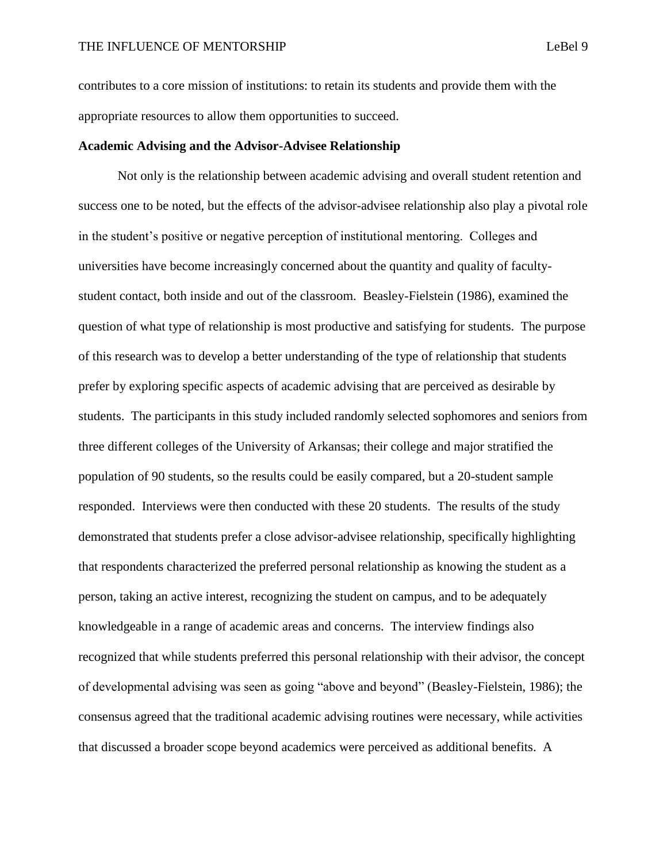contributes to a core mission of institutions: to retain its students and provide them with the appropriate resources to allow them opportunities to succeed.

### **Academic Advising and the Advisor-Advisee Relationship**

Not only is the relationship between academic advising and overall student retention and success one to be noted, but the effects of the advisor-advisee relationship also play a pivotal role in the student's positive or negative perception of institutional mentoring. Colleges and universities have become increasingly concerned about the quantity and quality of facultystudent contact, both inside and out of the classroom. Beasley-Fielstein (1986), examined the question of what type of relationship is most productive and satisfying for students. The purpose of this research was to develop a better understanding of the type of relationship that students prefer by exploring specific aspects of academic advising that are perceived as desirable by students. The participants in this study included randomly selected sophomores and seniors from three different colleges of the University of Arkansas; their college and major stratified the population of 90 students, so the results could be easily compared, but a 20-student sample responded. Interviews were then conducted with these 20 students. The results of the study demonstrated that students prefer a close advisor-advisee relationship, specifically highlighting that respondents characterized the preferred personal relationship as knowing the student as a person, taking an active interest, recognizing the student on campus, and to be adequately knowledgeable in a range of academic areas and concerns. The interview findings also recognized that while students preferred this personal relationship with their advisor, the concept of developmental advising was seen as going "above and beyond" (Beasley-Fielstein, 1986); the consensus agreed that the traditional academic advising routines were necessary, while activities that discussed a broader scope beyond academics were perceived as additional benefits. A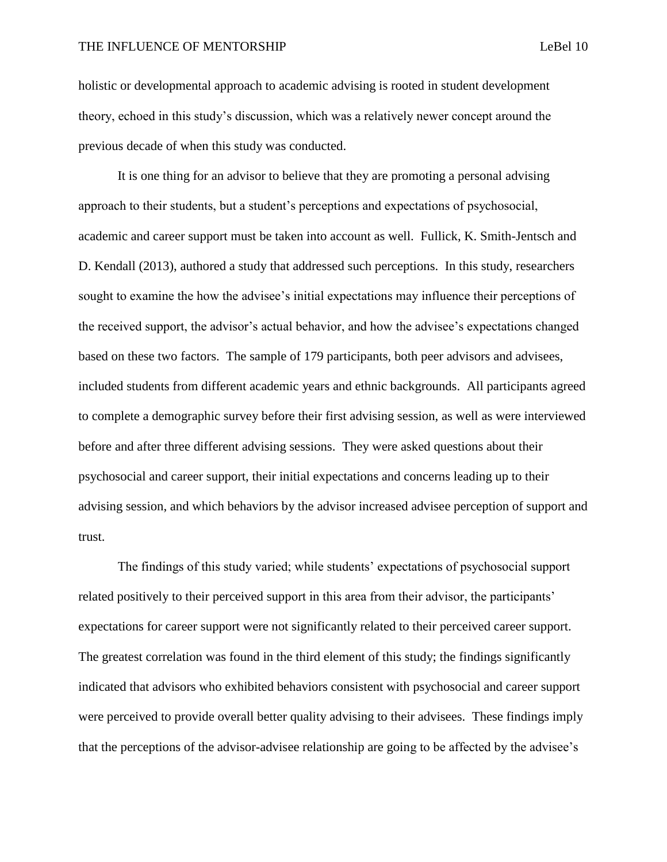holistic or developmental approach to academic advising is rooted in student development theory, echoed in this study's discussion, which was a relatively newer concept around the previous decade of when this study was conducted.

It is one thing for an advisor to believe that they are promoting a personal advising approach to their students, but a student's perceptions and expectations of psychosocial, academic and career support must be taken into account as well. Fullick, K. Smith-Jentsch and D. Kendall (2013), authored a study that addressed such perceptions. In this study, researchers sought to examine the how the advisee's initial expectations may influence their perceptions of the received support, the advisor's actual behavior, and how the advisee's expectations changed based on these two factors. The sample of 179 participants, both peer advisors and advisees, included students from different academic years and ethnic backgrounds. All participants agreed to complete a demographic survey before their first advising session, as well as were interviewed before and after three different advising sessions. They were asked questions about their psychosocial and career support, their initial expectations and concerns leading up to their advising session, and which behaviors by the advisor increased advisee perception of support and trust.

The findings of this study varied; while students' expectations of psychosocial support related positively to their perceived support in this area from their advisor, the participants' expectations for career support were not significantly related to their perceived career support. The greatest correlation was found in the third element of this study; the findings significantly indicated that advisors who exhibited behaviors consistent with psychosocial and career support were perceived to provide overall better quality advising to their advisees. These findings imply that the perceptions of the advisor-advisee relationship are going to be affected by the advisee's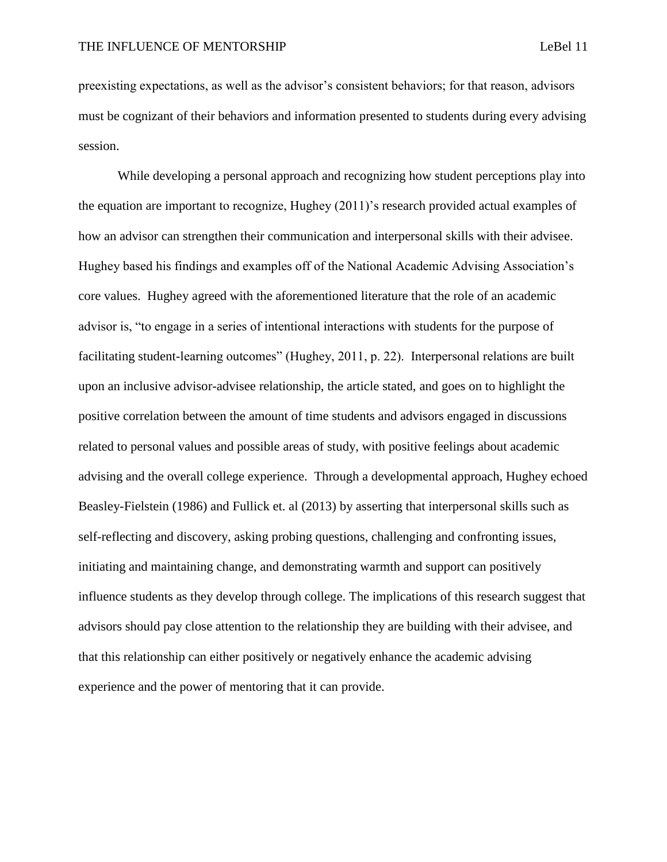preexisting expectations, as well as the advisor's consistent behaviors; for that reason, advisors must be cognizant of their behaviors and information presented to students during every advising session.

While developing a personal approach and recognizing how student perceptions play into the equation are important to recognize, Hughey (2011)'s research provided actual examples of how an advisor can strengthen their communication and interpersonal skills with their advisee. Hughey based his findings and examples off of the National Academic Advising Association's core values. Hughey agreed with the aforementioned literature that the role of an academic advisor is, "to engage in a series of intentional interactions with students for the purpose of facilitating student-learning outcomes" (Hughey, 2011, p. 22). Interpersonal relations are built upon an inclusive advisor-advisee relationship, the article stated, and goes on to highlight the positive correlation between the amount of time students and advisors engaged in discussions related to personal values and possible areas of study, with positive feelings about academic advising and the overall college experience. Through a developmental approach, Hughey echoed Beasley-Fielstein (1986) and Fullick et. al (2013) by asserting that interpersonal skills such as self-reflecting and discovery, asking probing questions, challenging and confronting issues, initiating and maintaining change, and demonstrating warmth and support can positively influence students as they develop through college. The implications of this research suggest that advisors should pay close attention to the relationship they are building with their advisee, and that this relationship can either positively or negatively enhance the academic advising experience and the power of mentoring that it can provide.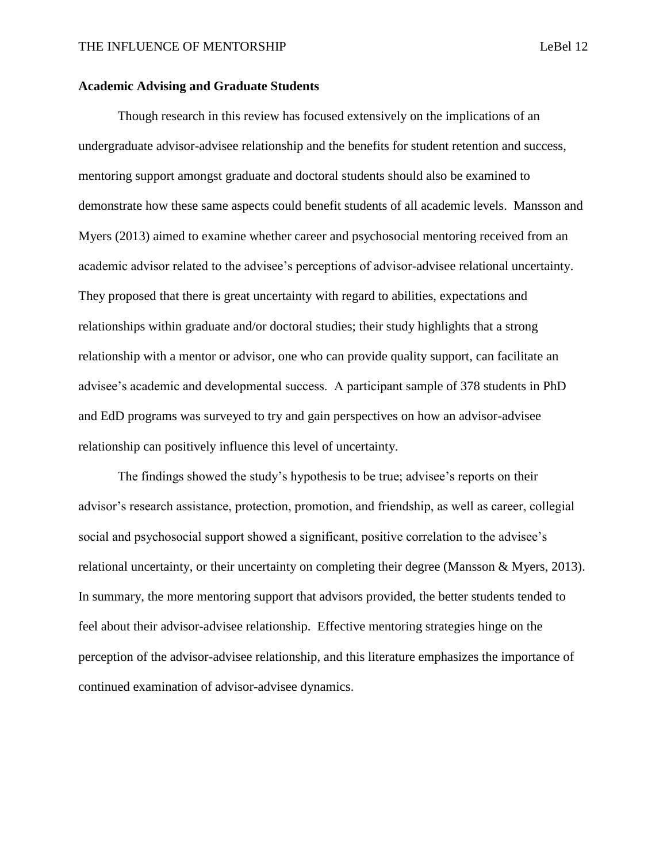### **Academic Advising and Graduate Students**

Though research in this review has focused extensively on the implications of an undergraduate advisor-advisee relationship and the benefits for student retention and success, mentoring support amongst graduate and doctoral students should also be examined to demonstrate how these same aspects could benefit students of all academic levels. Mansson and Myers (2013) aimed to examine whether career and psychosocial mentoring received from an academic advisor related to the advisee's perceptions of advisor-advisee relational uncertainty. They proposed that there is great uncertainty with regard to abilities, expectations and relationships within graduate and/or doctoral studies; their study highlights that a strong relationship with a mentor or advisor, one who can provide quality support, can facilitate an advisee's academic and developmental success. A participant sample of 378 students in PhD and EdD programs was surveyed to try and gain perspectives on how an advisor-advisee relationship can positively influence this level of uncertainty.

The findings showed the study's hypothesis to be true; advisee's reports on their advisor's research assistance, protection, promotion, and friendship, as well as career, collegial social and psychosocial support showed a significant, positive correlation to the advisee's relational uncertainty, or their uncertainty on completing their degree (Mansson & Myers, 2013). In summary, the more mentoring support that advisors provided, the better students tended to feel about their advisor-advisee relationship. Effective mentoring strategies hinge on the perception of the advisor-advisee relationship, and this literature emphasizes the importance of continued examination of advisor-advisee dynamics.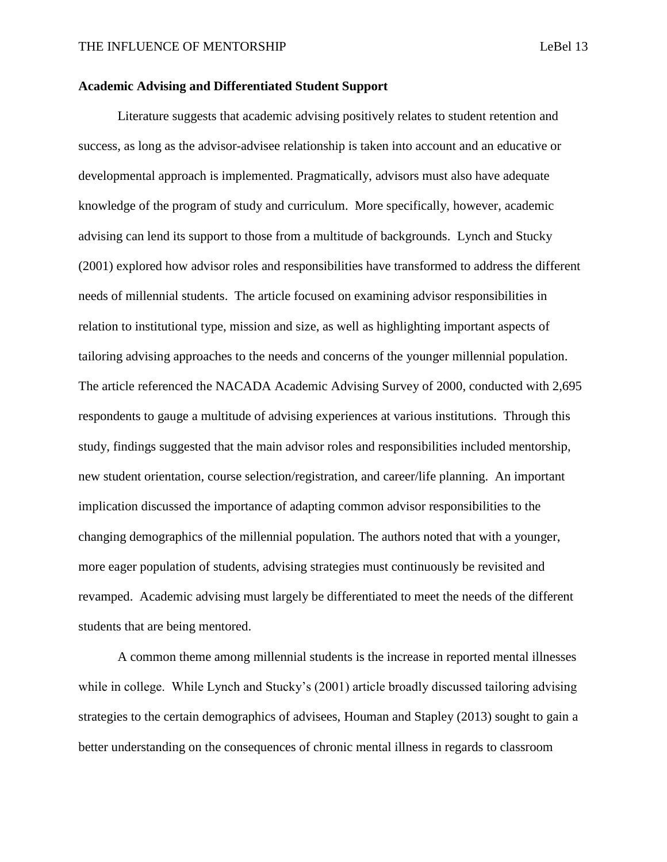### **Academic Advising and Differentiated Student Support**

Literature suggests that academic advising positively relates to student retention and success, as long as the advisor-advisee relationship is taken into account and an educative or developmental approach is implemented. Pragmatically, advisors must also have adequate knowledge of the program of study and curriculum. More specifically, however, academic advising can lend its support to those from a multitude of backgrounds. Lynch and Stucky (2001) explored how advisor roles and responsibilities have transformed to address the different needs of millennial students. The article focused on examining advisor responsibilities in relation to institutional type, mission and size, as well as highlighting important aspects of tailoring advising approaches to the needs and concerns of the younger millennial population. The article referenced the NACADA Academic Advising Survey of 2000, conducted with 2,695 respondents to gauge a multitude of advising experiences at various institutions. Through this study, findings suggested that the main advisor roles and responsibilities included mentorship, new student orientation, course selection/registration, and career/life planning. An important implication discussed the importance of adapting common advisor responsibilities to the changing demographics of the millennial population. The authors noted that with a younger, more eager population of students, advising strategies must continuously be revisited and revamped. Academic advising must largely be differentiated to meet the needs of the different students that are being mentored.

A common theme among millennial students is the increase in reported mental illnesses while in college. While Lynch and Stucky's (2001) article broadly discussed tailoring advising strategies to the certain demographics of advisees, Houman and Stapley (2013) sought to gain a better understanding on the consequences of chronic mental illness in regards to classroom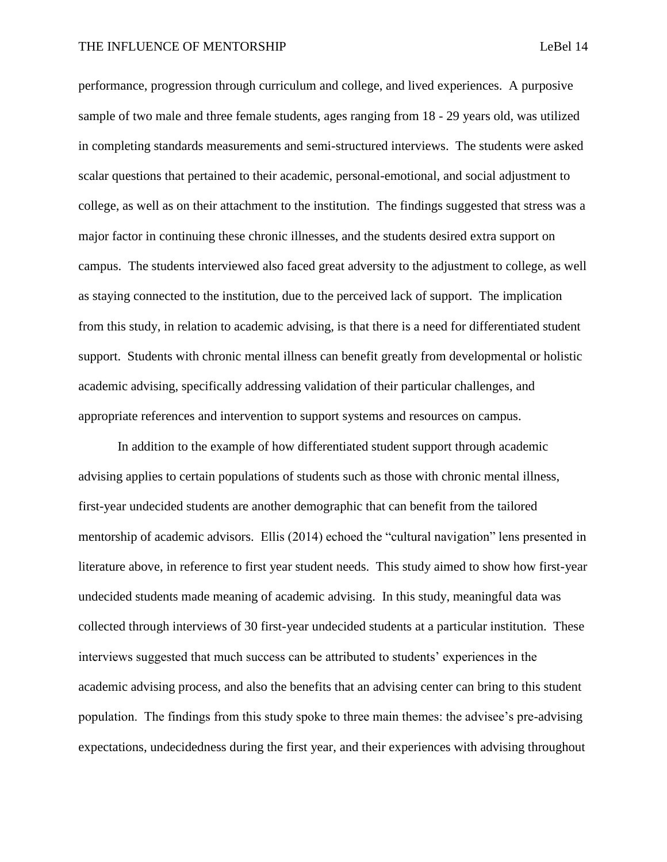performance, progression through curriculum and college, and lived experiences. A purposive sample of two male and three female students, ages ranging from 18 - 29 years old, was utilized in completing standards measurements and semi-structured interviews. The students were asked scalar questions that pertained to their academic, personal-emotional, and social adjustment to college, as well as on their attachment to the institution. The findings suggested that stress was a major factor in continuing these chronic illnesses, and the students desired extra support on campus. The students interviewed also faced great adversity to the adjustment to college, as well as staying connected to the institution, due to the perceived lack of support. The implication from this study, in relation to academic advising, is that there is a need for differentiated student support. Students with chronic mental illness can benefit greatly from developmental or holistic academic advising, specifically addressing validation of their particular challenges, and appropriate references and intervention to support systems and resources on campus.

In addition to the example of how differentiated student support through academic advising applies to certain populations of students such as those with chronic mental illness, first-year undecided students are another demographic that can benefit from the tailored mentorship of academic advisors. Ellis (2014) echoed the "cultural navigation" lens presented in literature above, in reference to first year student needs. This study aimed to show how first-year undecided students made meaning of academic advising. In this study, meaningful data was collected through interviews of 30 first-year undecided students at a particular institution. These interviews suggested that much success can be attributed to students' experiences in the academic advising process, and also the benefits that an advising center can bring to this student population. The findings from this study spoke to three main themes: the advisee's pre-advising expectations, undecidedness during the first year, and their experiences with advising throughout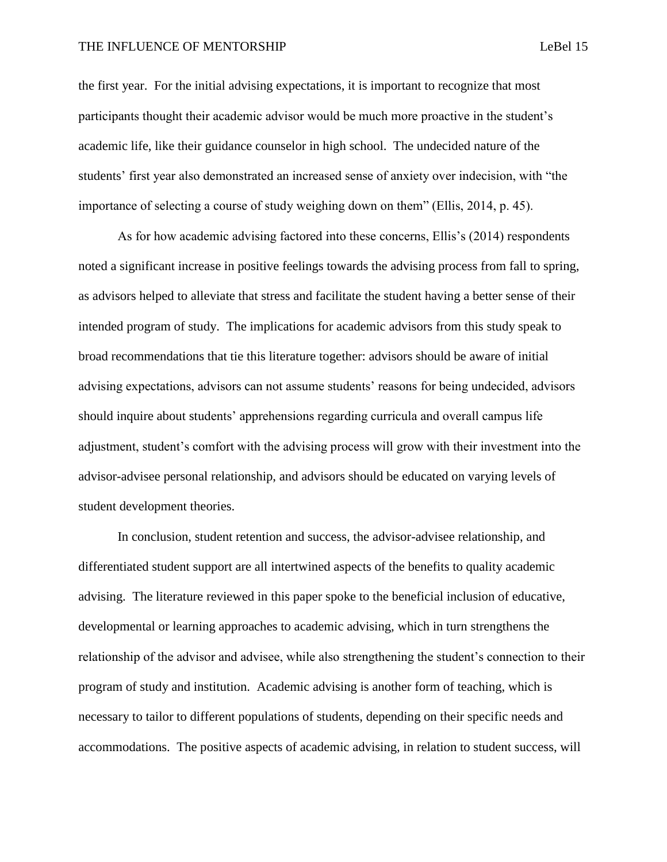#### THE INFLUENCE OF MENTORSHIP **Legislation** Lebel 15

the first year. For the initial advising expectations, it is important to recognize that most participants thought their academic advisor would be much more proactive in the student's academic life, like their guidance counselor in high school. The undecided nature of the students' first year also demonstrated an increased sense of anxiety over indecision, with "the importance of selecting a course of study weighing down on them" (Ellis, 2014, p. 45).

As for how academic advising factored into these concerns, Ellis's (2014) respondents noted a significant increase in positive feelings towards the advising process from fall to spring, as advisors helped to alleviate that stress and facilitate the student having a better sense of their intended program of study. The implications for academic advisors from this study speak to broad recommendations that tie this literature together: advisors should be aware of initial advising expectations, advisors can not assume students' reasons for being undecided, advisors should inquire about students' apprehensions regarding curricula and overall campus life adjustment, student's comfort with the advising process will grow with their investment into the advisor-advisee personal relationship, and advisors should be educated on varying levels of student development theories.

In conclusion, student retention and success, the advisor-advisee relationship, and differentiated student support are all intertwined aspects of the benefits to quality academic advising. The literature reviewed in this paper spoke to the beneficial inclusion of educative, developmental or learning approaches to academic advising, which in turn strengthens the relationship of the advisor and advisee, while also strengthening the student's connection to their program of study and institution. Academic advising is another form of teaching, which is necessary to tailor to different populations of students, depending on their specific needs and accommodations. The positive aspects of academic advising, in relation to student success, will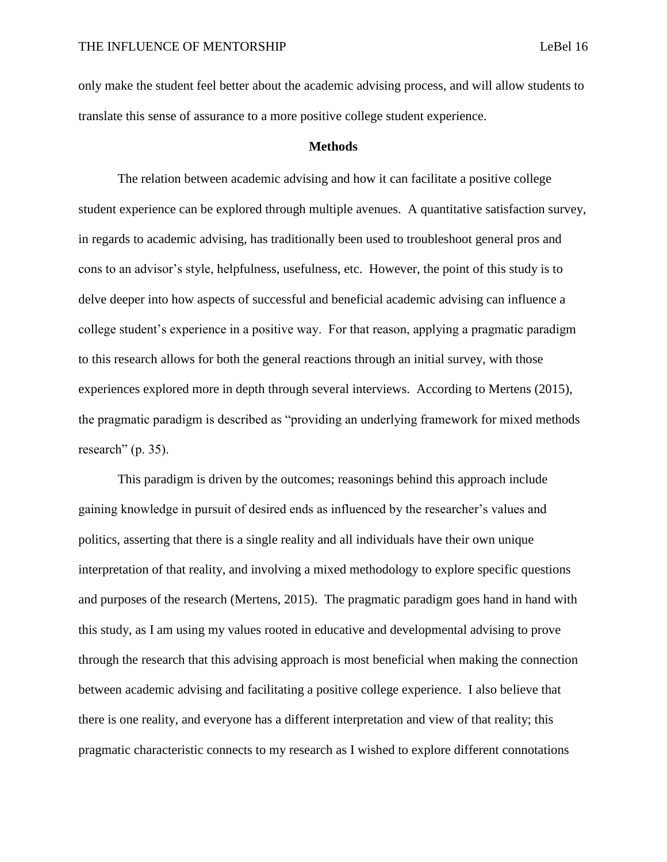only make the student feel better about the academic advising process, and will allow students to translate this sense of assurance to a more positive college student experience.

#### **Methods**

The relation between academic advising and how it can facilitate a positive college student experience can be explored through multiple avenues. A quantitative satisfaction survey, in regards to academic advising, has traditionally been used to troubleshoot general pros and cons to an advisor's style, helpfulness, usefulness, etc. However, the point of this study is to delve deeper into how aspects of successful and beneficial academic advising can influence a college student's experience in a positive way. For that reason, applying a pragmatic paradigm to this research allows for both the general reactions through an initial survey, with those experiences explored more in depth through several interviews. According to Mertens (2015), the pragmatic paradigm is described as "providing an underlying framework for mixed methods research" (p. 35).

This paradigm is driven by the outcomes; reasonings behind this approach include gaining knowledge in pursuit of desired ends as influenced by the researcher's values and politics, asserting that there is a single reality and all individuals have their own unique interpretation of that reality, and involving a mixed methodology to explore specific questions and purposes of the research (Mertens, 2015). The pragmatic paradigm goes hand in hand with this study, as I am using my values rooted in educative and developmental advising to prove through the research that this advising approach is most beneficial when making the connection between academic advising and facilitating a positive college experience. I also believe that there is one reality, and everyone has a different interpretation and view of that reality; this pragmatic characteristic connects to my research as I wished to explore different connotations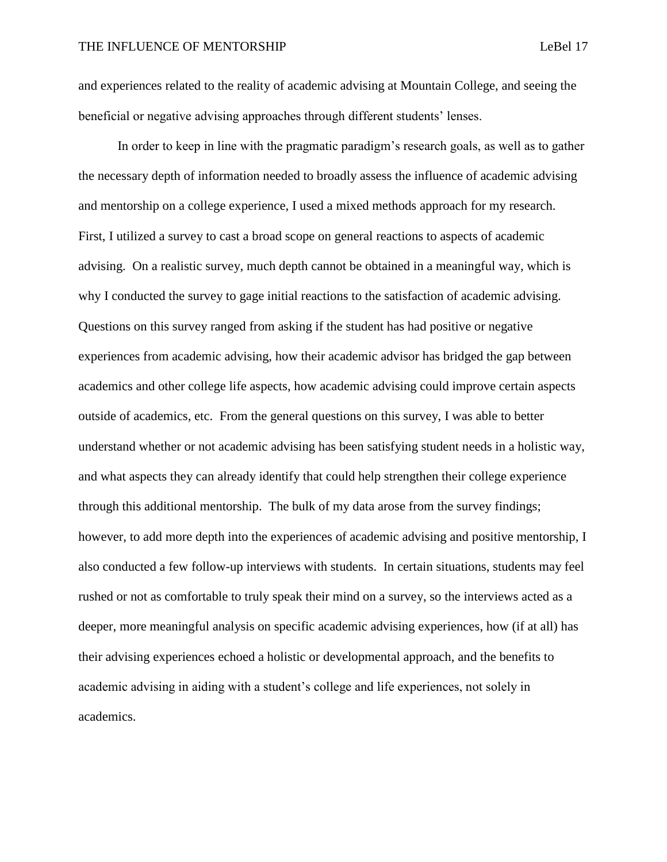and experiences related to the reality of academic advising at Mountain College, and seeing the beneficial or negative advising approaches through different students' lenses.

In order to keep in line with the pragmatic paradigm's research goals, as well as to gather the necessary depth of information needed to broadly assess the influence of academic advising and mentorship on a college experience, I used a mixed methods approach for my research. First, I utilized a survey to cast a broad scope on general reactions to aspects of academic advising. On a realistic survey, much depth cannot be obtained in a meaningful way, which is why I conducted the survey to gage initial reactions to the satisfaction of academic advising. Questions on this survey ranged from asking if the student has had positive or negative experiences from academic advising, how their academic advisor has bridged the gap between academics and other college life aspects, how academic advising could improve certain aspects outside of academics, etc. From the general questions on this survey, I was able to better understand whether or not academic advising has been satisfying student needs in a holistic way, and what aspects they can already identify that could help strengthen their college experience through this additional mentorship. The bulk of my data arose from the survey findings; however, to add more depth into the experiences of academic advising and positive mentorship, I also conducted a few follow-up interviews with students. In certain situations, students may feel rushed or not as comfortable to truly speak their mind on a survey, so the interviews acted as a deeper, more meaningful analysis on specific academic advising experiences, how (if at all) has their advising experiences echoed a holistic or developmental approach, and the benefits to academic advising in aiding with a student's college and life experiences, not solely in academics.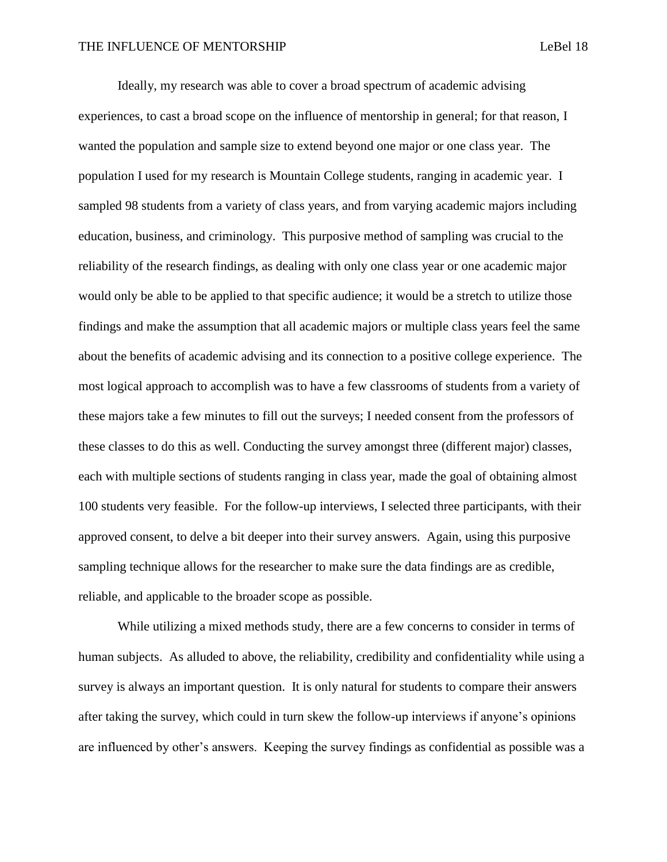Ideally, my research was able to cover a broad spectrum of academic advising experiences, to cast a broad scope on the influence of mentorship in general; for that reason, I wanted the population and sample size to extend beyond one major or one class year. The population I used for my research is Mountain College students, ranging in academic year. I sampled 98 students from a variety of class years, and from varying academic majors including education, business, and criminology. This purposive method of sampling was crucial to the reliability of the research findings, as dealing with only one class year or one academic major would only be able to be applied to that specific audience; it would be a stretch to utilize those findings and make the assumption that all academic majors or multiple class years feel the same about the benefits of academic advising and its connection to a positive college experience. The most logical approach to accomplish was to have a few classrooms of students from a variety of these majors take a few minutes to fill out the surveys; I needed consent from the professors of these classes to do this as well. Conducting the survey amongst three (different major) classes, each with multiple sections of students ranging in class year, made the goal of obtaining almost 100 students very feasible. For the follow-up interviews, I selected three participants, with their approved consent, to delve a bit deeper into their survey answers. Again, using this purposive sampling technique allows for the researcher to make sure the data findings are as credible, reliable, and applicable to the broader scope as possible.

While utilizing a mixed methods study, there are a few concerns to consider in terms of human subjects. As alluded to above, the reliability, credibility and confidentiality while using a survey is always an important question. It is only natural for students to compare their answers after taking the survey, which could in turn skew the follow-up interviews if anyone's opinions are influenced by other's answers. Keeping the survey findings as confidential as possible was a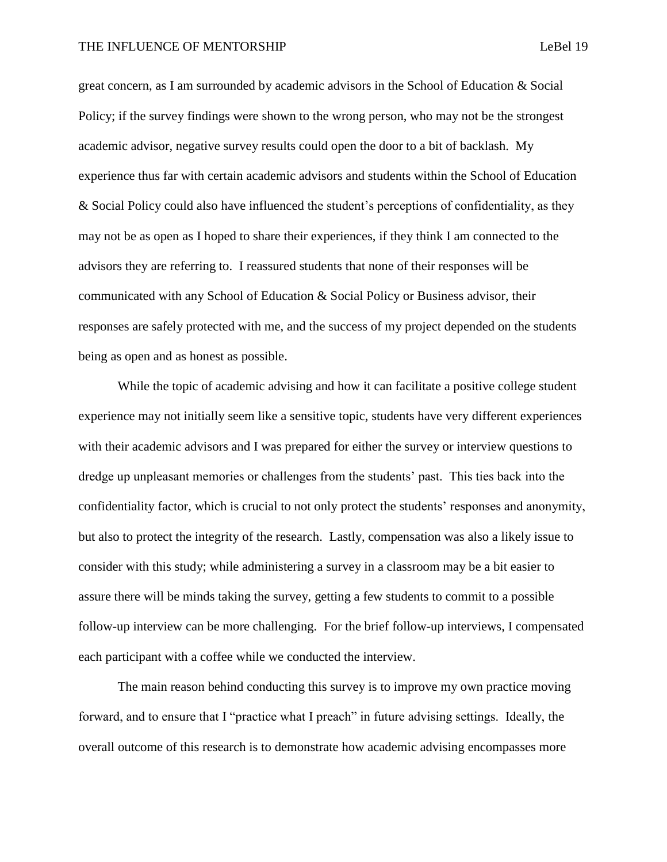great concern, as I am surrounded by academic advisors in the School of Education & Social Policy; if the survey findings were shown to the wrong person, who may not be the strongest academic advisor, negative survey results could open the door to a bit of backlash. My experience thus far with certain academic advisors and students within the School of Education & Social Policy could also have influenced the student's perceptions of confidentiality, as they may not be as open as I hoped to share their experiences, if they think I am connected to the advisors they are referring to. I reassured students that none of their responses will be communicated with any School of Education & Social Policy or Business advisor, their responses are safely protected with me, and the success of my project depended on the students being as open and as honest as possible.

While the topic of academic advising and how it can facilitate a positive college student experience may not initially seem like a sensitive topic, students have very different experiences with their academic advisors and I was prepared for either the survey or interview questions to dredge up unpleasant memories or challenges from the students' past. This ties back into the confidentiality factor, which is crucial to not only protect the students' responses and anonymity, but also to protect the integrity of the research. Lastly, compensation was also a likely issue to consider with this study; while administering a survey in a classroom may be a bit easier to assure there will be minds taking the survey, getting a few students to commit to a possible follow-up interview can be more challenging. For the brief follow-up interviews, I compensated each participant with a coffee while we conducted the interview.

The main reason behind conducting this survey is to improve my own practice moving forward, and to ensure that I "practice what I preach" in future advising settings. Ideally, the overall outcome of this research is to demonstrate how academic advising encompasses more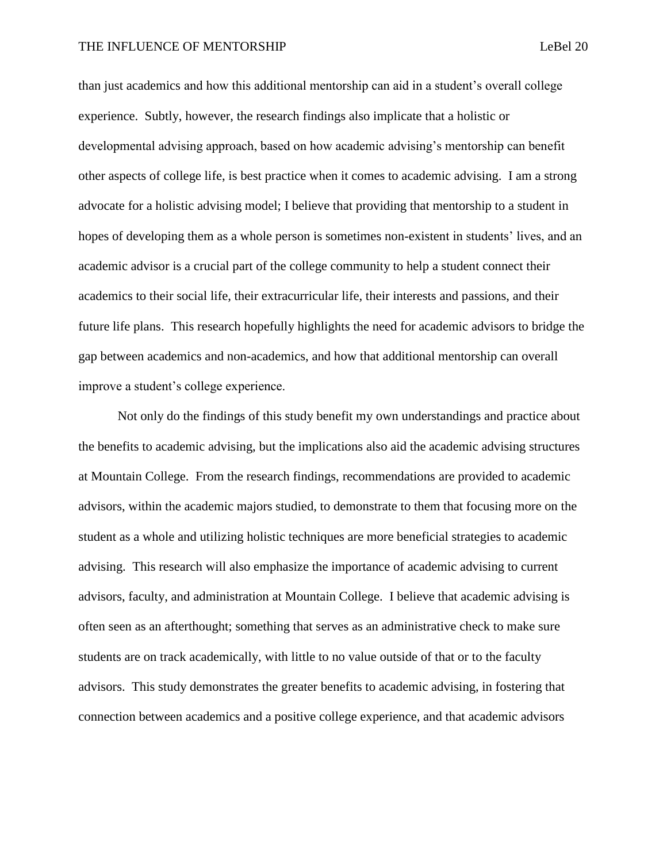#### THE INFLUENCE OF MENTORSHIP **Legislation** LeBel 20

than just academics and how this additional mentorship can aid in a student's overall college experience. Subtly, however, the research findings also implicate that a holistic or developmental advising approach, based on how academic advising's mentorship can benefit other aspects of college life, is best practice when it comes to academic advising. I am a strong advocate for a holistic advising model; I believe that providing that mentorship to a student in hopes of developing them as a whole person is sometimes non-existent in students' lives, and an academic advisor is a crucial part of the college community to help a student connect their academics to their social life, their extracurricular life, their interests and passions, and their future life plans. This research hopefully highlights the need for academic advisors to bridge the gap between academics and non-academics, and how that additional mentorship can overall improve a student's college experience.

Not only do the findings of this study benefit my own understandings and practice about the benefits to academic advising, but the implications also aid the academic advising structures at Mountain College. From the research findings, recommendations are provided to academic advisors, within the academic majors studied, to demonstrate to them that focusing more on the student as a whole and utilizing holistic techniques are more beneficial strategies to academic advising. This research will also emphasize the importance of academic advising to current advisors, faculty, and administration at Mountain College. I believe that academic advising is often seen as an afterthought; something that serves as an administrative check to make sure students are on track academically, with little to no value outside of that or to the faculty advisors. This study demonstrates the greater benefits to academic advising, in fostering that connection between academics and a positive college experience, and that academic advisors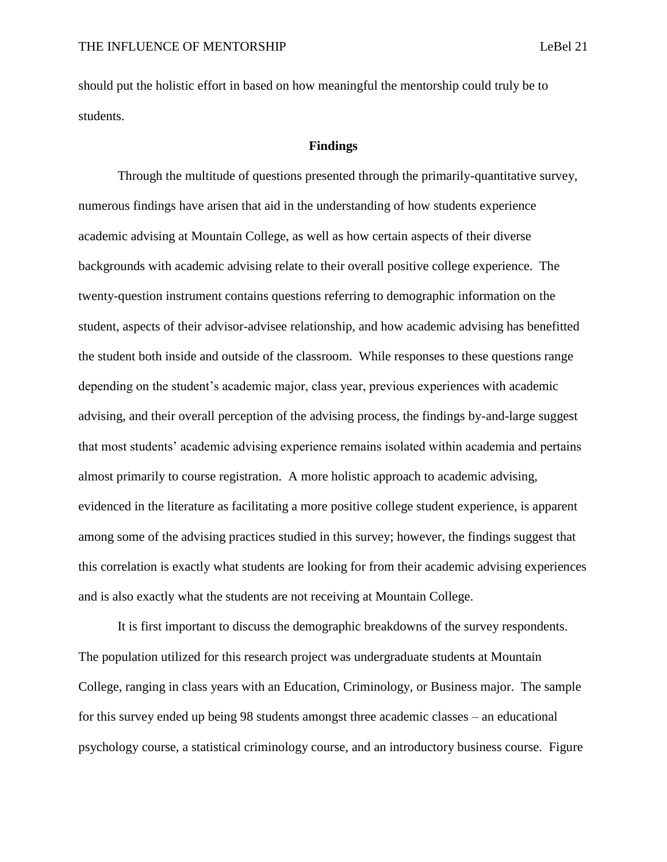should put the holistic effort in based on how meaningful the mentorship could truly be to students.

#### **Findings**

Through the multitude of questions presented through the primarily-quantitative survey, numerous findings have arisen that aid in the understanding of how students experience academic advising at Mountain College, as well as how certain aspects of their diverse backgrounds with academic advising relate to their overall positive college experience. The twenty-question instrument contains questions referring to demographic information on the student, aspects of their advisor-advisee relationship, and how academic advising has benefitted the student both inside and outside of the classroom. While responses to these questions range depending on the student's academic major, class year, previous experiences with academic advising, and their overall perception of the advising process, the findings by-and-large suggest that most students' academic advising experience remains isolated within academia and pertains almost primarily to course registration. A more holistic approach to academic advising, evidenced in the literature as facilitating a more positive college student experience, is apparent among some of the advising practices studied in this survey; however, the findings suggest that this correlation is exactly what students are looking for from their academic advising experiences and is also exactly what the students are not receiving at Mountain College.

It is first important to discuss the demographic breakdowns of the survey respondents. The population utilized for this research project was undergraduate students at Mountain College, ranging in class years with an Education, Criminology, or Business major. The sample for this survey ended up being 98 students amongst three academic classes – an educational psychology course, a statistical criminology course, and an introductory business course. Figure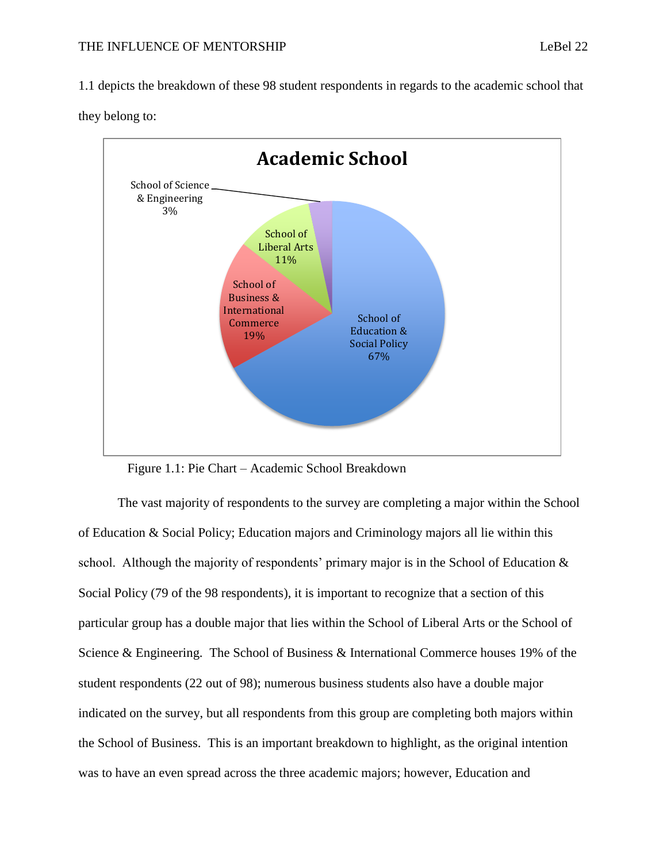1.1 depicts the breakdown of these 98 student respondents in regards to the academic school that





Figure 1.1: Pie Chart – Academic School Breakdown

The vast majority of respondents to the survey are completing a major within the School of Education & Social Policy; Education majors and Criminology majors all lie within this school. Although the majority of respondents' primary major is in the School of Education & Social Policy (79 of the 98 respondents), it is important to recognize that a section of this particular group has a double major that lies within the School of Liberal Arts or the School of Science & Engineering. The School of Business & International Commerce houses 19% of the student respondents (22 out of 98); numerous business students also have a double major indicated on the survey, but all respondents from this group are completing both majors within the School of Business. This is an important breakdown to highlight, as the original intention was to have an even spread across the three academic majors; however, Education and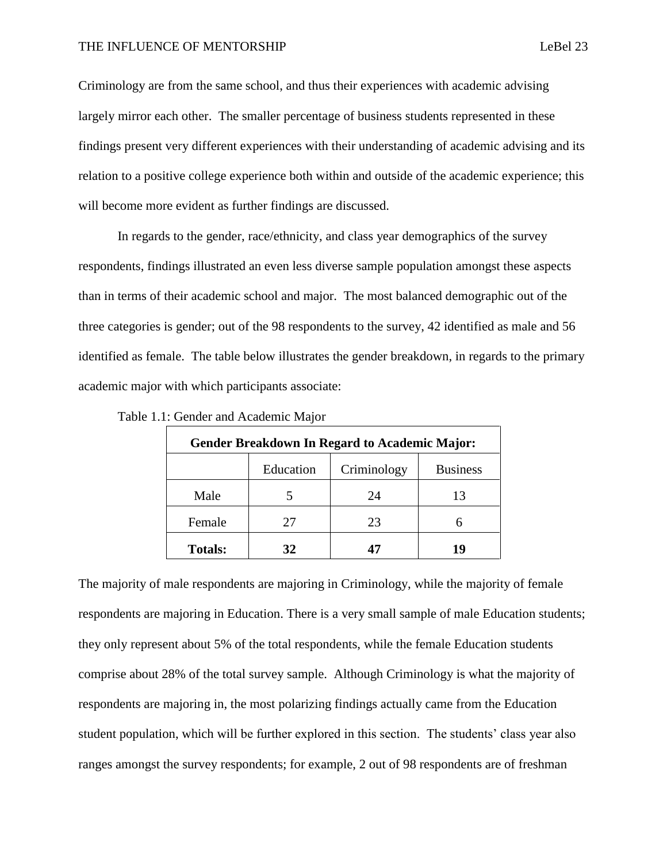#### THE INFLUENCE OF MENTORSHIP **Legislation** Lebel 23

Criminology are from the same school, and thus their experiences with academic advising largely mirror each other. The smaller percentage of business students represented in these findings present very different experiences with their understanding of academic advising and its relation to a positive college experience both within and outside of the academic experience; this will become more evident as further findings are discussed.

In regards to the gender, race/ethnicity, and class year demographics of the survey respondents, findings illustrated an even less diverse sample population amongst these aspects than in terms of their academic school and major. The most balanced demographic out of the three categories is gender; out of the 98 respondents to the survey, 42 identified as male and 56 identified as female. The table below illustrates the gender breakdown, in regards to the primary academic major with which participants associate:

| <b>Gender Breakdown In Regard to Academic Major:</b> |           |             |                 |
|------------------------------------------------------|-----------|-------------|-----------------|
|                                                      | Education | Criminology | <b>Business</b> |
| Male                                                 |           | 24          | 13              |
| Female                                               | 27        | 23          | 6               |
| <b>Totals:</b>                                       | 32        | 47          | 19              |

Table 1.1: Gender and Academic Major

The majority of male respondents are majoring in Criminology, while the majority of female respondents are majoring in Education. There is a very small sample of male Education students; they only represent about 5% of the total respondents, while the female Education students comprise about 28% of the total survey sample. Although Criminology is what the majority of respondents are majoring in, the most polarizing findings actually came from the Education student population, which will be further explored in this section. The students' class year also ranges amongst the survey respondents; for example, 2 out of 98 respondents are of freshman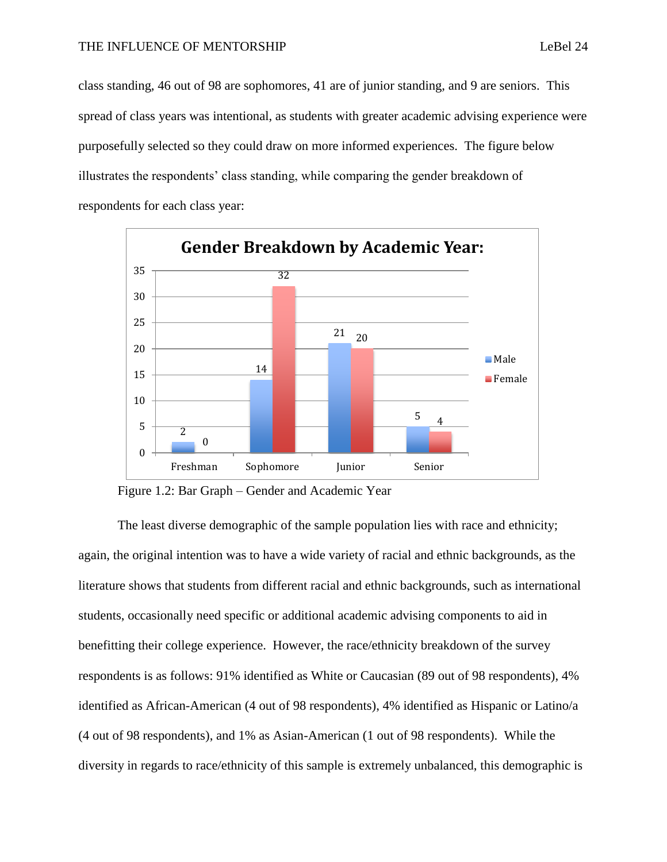class standing, 46 out of 98 are sophomores, 41 are of junior standing, and 9 are seniors. This spread of class years was intentional, as students with greater academic advising experience were purposefully selected so they could draw on more informed experiences. The figure below illustrates the respondents' class standing, while comparing the gender breakdown of respondents for each class year:



Figure 1.2: Bar Graph – Gender and Academic Year

The least diverse demographic of the sample population lies with race and ethnicity; again, the original intention was to have a wide variety of racial and ethnic backgrounds, as the literature shows that students from different racial and ethnic backgrounds, such as international students, occasionally need specific or additional academic advising components to aid in benefitting their college experience. However, the race/ethnicity breakdown of the survey respondents is as follows: 91% identified as White or Caucasian (89 out of 98 respondents), 4% identified as African-American (4 out of 98 respondents), 4% identified as Hispanic or Latino/a (4 out of 98 respondents), and 1% as Asian-American (1 out of 98 respondents). While the diversity in regards to race/ethnicity of this sample is extremely unbalanced, this demographic is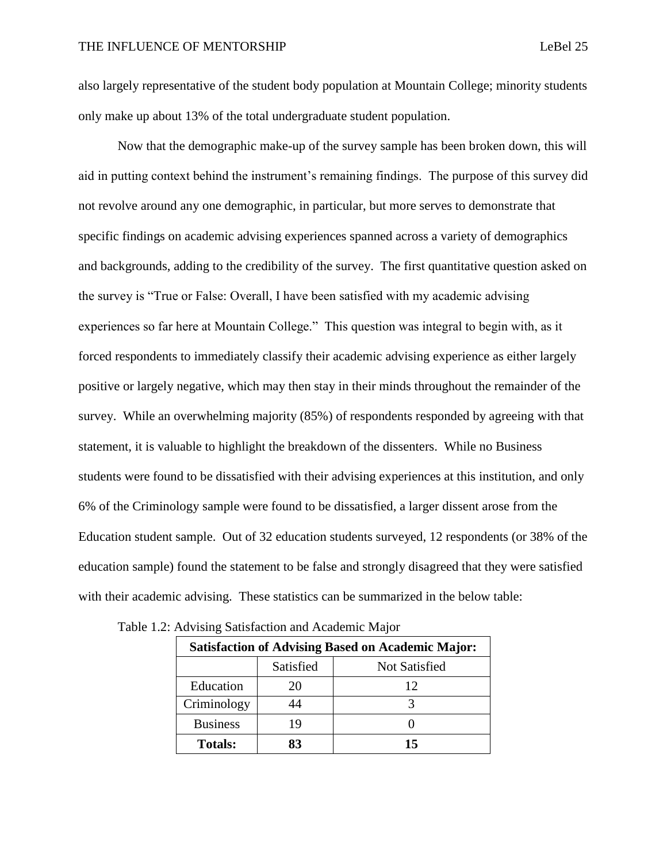also largely representative of the student body population at Mountain College; minority students only make up about 13% of the total undergraduate student population.

Now that the demographic make-up of the survey sample has been broken down, this will aid in putting context behind the instrument's remaining findings. The purpose of this survey did not revolve around any one demographic, in particular, but more serves to demonstrate that specific findings on academic advising experiences spanned across a variety of demographics and backgrounds, adding to the credibility of the survey. The first quantitative question asked on the survey is "True or False: Overall, I have been satisfied with my academic advising experiences so far here at Mountain College." This question was integral to begin with, as it forced respondents to immediately classify their academic advising experience as either largely positive or largely negative, which may then stay in their minds throughout the remainder of the survey. While an overwhelming majority (85%) of respondents responded by agreeing with that statement, it is valuable to highlight the breakdown of the dissenters. While no Business students were found to be dissatisfied with their advising experiences at this institution, and only 6% of the Criminology sample were found to be dissatisfied, a larger dissent arose from the Education student sample. Out of 32 education students surveyed, 12 respondents (or 38% of the education sample) found the statement to be false and strongly disagreed that they were satisfied with their academic advising. These statistics can be summarized in the below table:

| <b>Satisfaction of Advising Based on Academic Major:</b> |           |               |
|----------------------------------------------------------|-----------|---------------|
|                                                          | Satisfied | Not Satisfied |
| Education                                                | 20        | 12            |
| Criminology                                              |           |               |
| <b>Business</b>                                          | 19        |               |
| <b>Totals:</b>                                           | 83        | 15            |

|  | Table 1.2: Advising Satisfaction and Academic Major |  |  |
|--|-----------------------------------------------------|--|--|
|  |                                                     |  |  |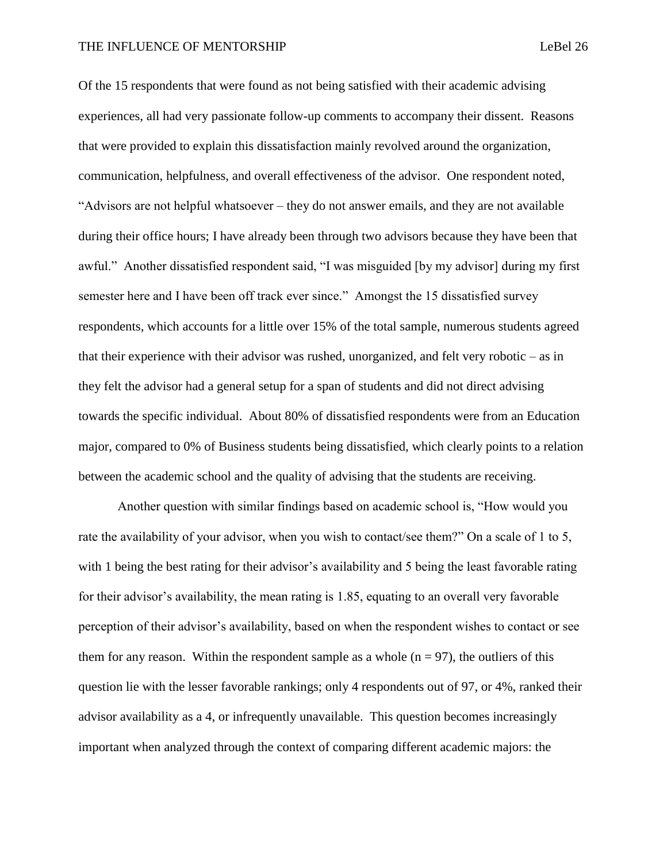#### THE INFLUENCE OF MENTORSHIP **Legislation** LeBel 26

Of the 15 respondents that were found as not being satisfied with their academic advising experiences, all had very passionate follow-up comments to accompany their dissent. Reasons that were provided to explain this dissatisfaction mainly revolved around the organization, communication, helpfulness, and overall effectiveness of the advisor. One respondent noted, "Advisors are not helpful whatsoever – they do not answer emails, and they are not available during their office hours; I have already been through two advisors because they have been that awful." Another dissatisfied respondent said, "I was misguided [by my advisor] during my first semester here and I have been off track ever since." Amongst the 15 dissatisfied survey respondents, which accounts for a little over 15% of the total sample, numerous students agreed that their experience with their advisor was rushed, unorganized, and felt very robotic – as in they felt the advisor had a general setup for a span of students and did not direct advising towards the specific individual. About 80% of dissatisfied respondents were from an Education major, compared to 0% of Business students being dissatisfied, which clearly points to a relation between the academic school and the quality of advising that the students are receiving.

Another question with similar findings based on academic school is, "How would you rate the availability of your advisor, when you wish to contact/see them?" On a scale of 1 to 5, with 1 being the best rating for their advisor's availability and 5 being the least favorable rating for their advisor's availability, the mean rating is 1.85, equating to an overall very favorable perception of their advisor's availability, based on when the respondent wishes to contact or see them for any reason. Within the respondent sample as a whole  $(n = 97)$ , the outliers of this question lie with the lesser favorable rankings; only 4 respondents out of 97, or 4%, ranked their advisor availability as a 4, or infrequently unavailable. This question becomes increasingly important when analyzed through the context of comparing different academic majors: the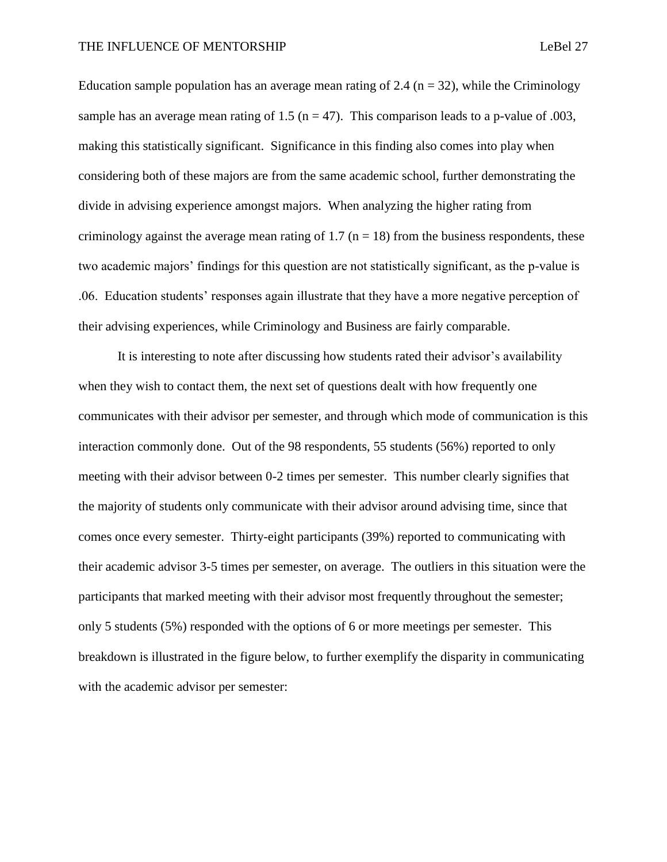Education sample population has an average mean rating of 2.4 ( $n = 32$ ), while the Criminology sample has an average mean rating of 1.5 ( $n = 47$ ). This comparison leads to a p-value of .003, making this statistically significant. Significance in this finding also comes into play when considering both of these majors are from the same academic school, further demonstrating the divide in advising experience amongst majors. When analyzing the higher rating from criminology against the average mean rating of 1.7 ( $n = 18$ ) from the business respondents, these two academic majors' findings for this question are not statistically significant, as the p-value is .06. Education students' responses again illustrate that they have a more negative perception of their advising experiences, while Criminology and Business are fairly comparable.

It is interesting to note after discussing how students rated their advisor's availability when they wish to contact them, the next set of questions dealt with how frequently one communicates with their advisor per semester, and through which mode of communication is this interaction commonly done. Out of the 98 respondents, 55 students (56%) reported to only meeting with their advisor between 0-2 times per semester. This number clearly signifies that the majority of students only communicate with their advisor around advising time, since that comes once every semester. Thirty-eight participants (39%) reported to communicating with their academic advisor 3-5 times per semester, on average. The outliers in this situation were the participants that marked meeting with their advisor most frequently throughout the semester; only 5 students (5%) responded with the options of 6 or more meetings per semester. This breakdown is illustrated in the figure below, to further exemplify the disparity in communicating with the academic advisor per semester: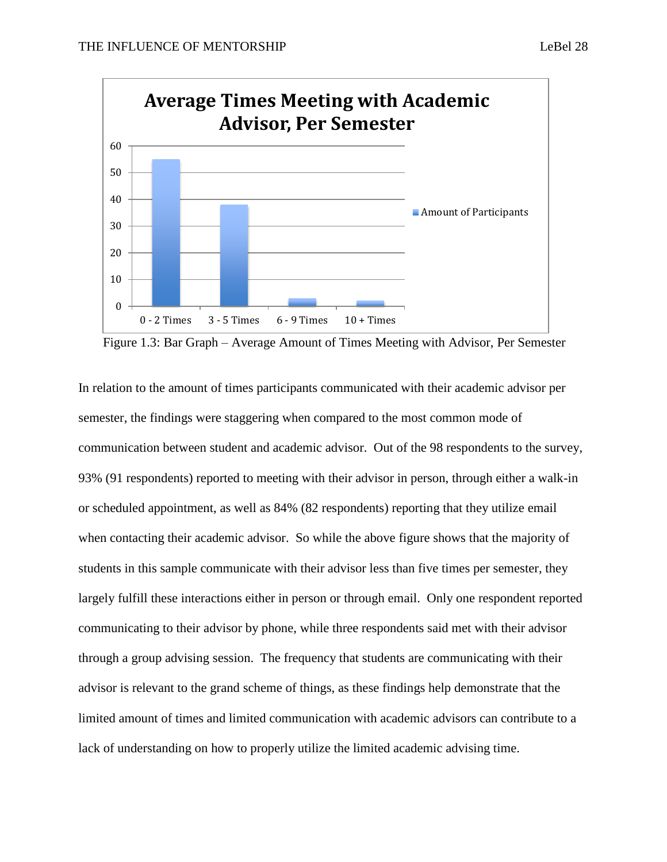

Figure 1.3: Bar Graph – Average Amount of Times Meeting with Advisor, Per Semester

In relation to the amount of times participants communicated with their academic advisor per semester, the findings were staggering when compared to the most common mode of communication between student and academic advisor. Out of the 98 respondents to the survey, 93% (91 respondents) reported to meeting with their advisor in person, through either a walk-in or scheduled appointment, as well as 84% (82 respondents) reporting that they utilize email when contacting their academic advisor. So while the above figure shows that the majority of students in this sample communicate with their advisor less than five times per semester, they largely fulfill these interactions either in person or through email. Only one respondent reported communicating to their advisor by phone, while three respondents said met with their advisor through a group advising session. The frequency that students are communicating with their advisor is relevant to the grand scheme of things, as these findings help demonstrate that the limited amount of times and limited communication with academic advisors can contribute to a lack of understanding on how to properly utilize the limited academic advising time.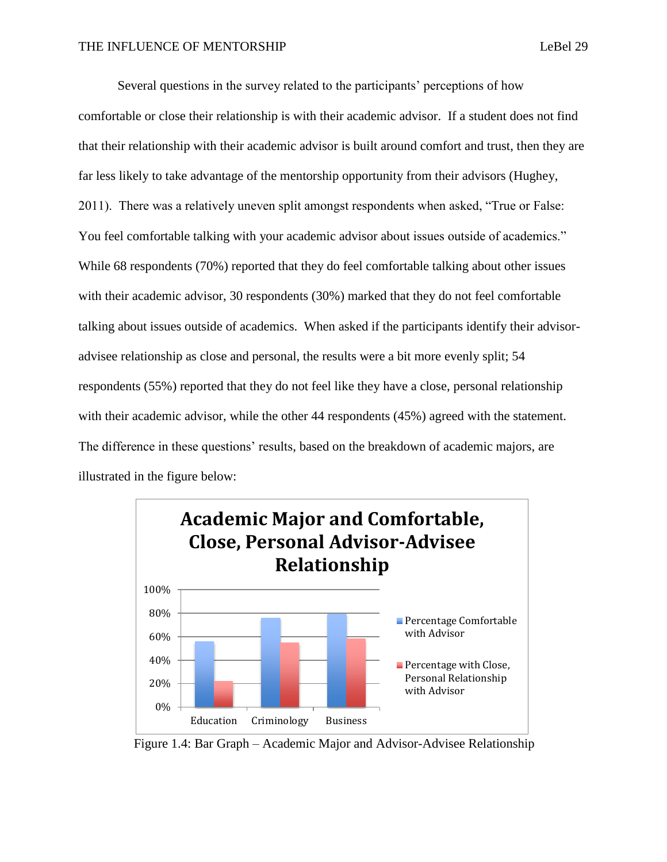Several questions in the survey related to the participants' perceptions of how comfortable or close their relationship is with their academic advisor. If a student does not find that their relationship with their academic advisor is built around comfort and trust, then they are far less likely to take advantage of the mentorship opportunity from their advisors (Hughey, 2011). There was a relatively uneven split amongst respondents when asked, "True or False: You feel comfortable talking with your academic advisor about issues outside of academics." While 68 respondents (70%) reported that they do feel comfortable talking about other issues with their academic advisor, 30 respondents (30%) marked that they do not feel comfortable talking about issues outside of academics. When asked if the participants identify their advisoradvisee relationship as close and personal, the results were a bit more evenly split; 54 respondents (55%) reported that they do not feel like they have a close, personal relationship with their academic advisor, while the other 44 respondents (45%) agreed with the statement.

The difference in these questions' results, based on the breakdown of academic majors, are illustrated in the figure below:



Figure 1.4: Bar Graph – Academic Major and Advisor-Advisee Relationship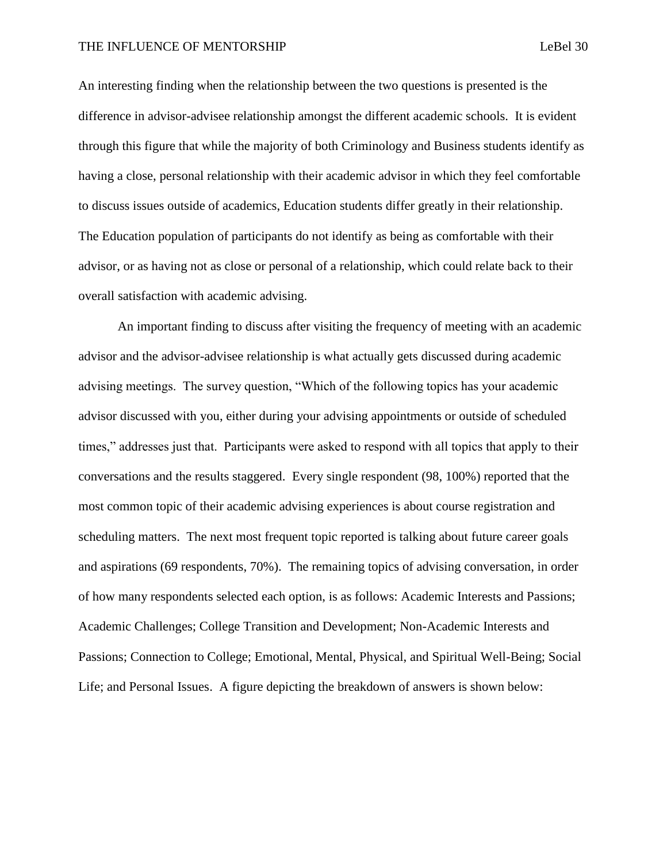An interesting finding when the relationship between the two questions is presented is the difference in advisor-advisee relationship amongst the different academic schools. It is evident through this figure that while the majority of both Criminology and Business students identify as having a close, personal relationship with their academic advisor in which they feel comfortable to discuss issues outside of academics, Education students differ greatly in their relationship. The Education population of participants do not identify as being as comfortable with their advisor, or as having not as close or personal of a relationship, which could relate back to their overall satisfaction with academic advising.

An important finding to discuss after visiting the frequency of meeting with an academic advisor and the advisor-advisee relationship is what actually gets discussed during academic advising meetings. The survey question, "Which of the following topics has your academic advisor discussed with you, either during your advising appointments or outside of scheduled times," addresses just that. Participants were asked to respond with all topics that apply to their conversations and the results staggered. Every single respondent (98, 100%) reported that the most common topic of their academic advising experiences is about course registration and scheduling matters. The next most frequent topic reported is talking about future career goals and aspirations (69 respondents, 70%). The remaining topics of advising conversation, in order of how many respondents selected each option, is as follows: Academic Interests and Passions; Academic Challenges; College Transition and Development; Non-Academic Interests and Passions; Connection to College; Emotional, Mental, Physical, and Spiritual Well-Being; Social Life; and Personal Issues. A figure depicting the breakdown of answers is shown below: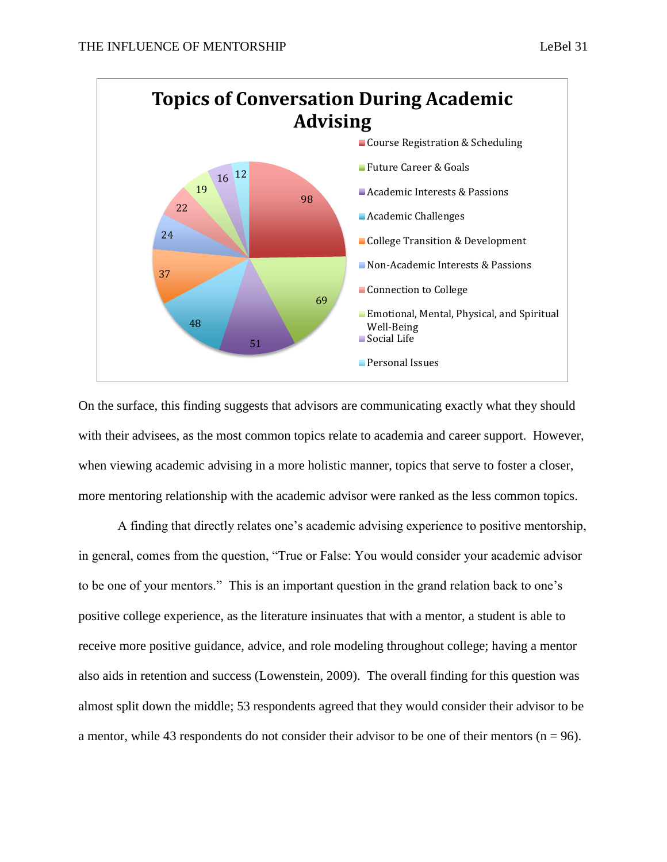

On the surface, this finding suggests that advisors are communicating exactly what they should with their advisees, as the most common topics relate to academia and career support. However, when viewing academic advising in a more holistic manner, topics that serve to foster a closer, more mentoring relationship with the academic advisor were ranked as the less common topics.

A finding that directly relates one's academic advising experience to positive mentorship, in general, comes from the question, "True or False: You would consider your academic advisor to be one of your mentors." This is an important question in the grand relation back to one's positive college experience, as the literature insinuates that with a mentor, a student is able to receive more positive guidance, advice, and role modeling throughout college; having a mentor also aids in retention and success (Lowenstein, 2009). The overall finding for this question was almost split down the middle; 53 respondents agreed that they would consider their advisor to be a mentor, while 43 respondents do not consider their advisor to be one of their mentors ( $n = 96$ ).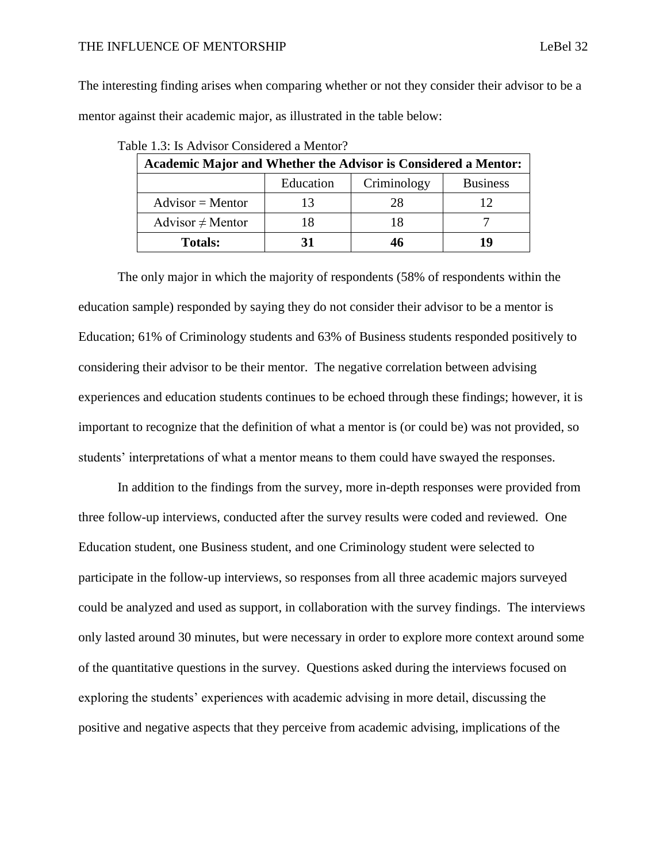#### THE INFLUENCE OF MENTORSHIP **Legislation** and the legislation of the legislation of the legislation of the legislation of the legislation of the legislation of the legislation of the legislation of the legislation of the l

The interesting finding arises when comparing whether or not they consider their advisor to be a mentor against their academic major, as illustrated in the table below:

| <b>Academic Major and Whether the Advisor is Considered a Mentor:</b> |           |             |                 |
|-----------------------------------------------------------------------|-----------|-------------|-----------------|
|                                                                       | Education | Criminology | <b>Business</b> |
| $Advisor = Mentor$                                                    | 13        | 28          | 12              |
| Advisor $\neq$ Mentor                                                 | 18        | 18          |                 |
| <b>Totals:</b>                                                        | 31        | 46          | 10              |

|  |  | Table 1.3: Is Advisor Considered a Mentor? |  |
|--|--|--------------------------------------------|--|
|--|--|--------------------------------------------|--|

The only major in which the majority of respondents (58% of respondents within the education sample) responded by saying they do not consider their advisor to be a mentor is Education; 61% of Criminology students and 63% of Business students responded positively to considering their advisor to be their mentor. The negative correlation between advising experiences and education students continues to be echoed through these findings; however, it is important to recognize that the definition of what a mentor is (or could be) was not provided, so students' interpretations of what a mentor means to them could have swayed the responses.

In addition to the findings from the survey, more in-depth responses were provided from three follow-up interviews, conducted after the survey results were coded and reviewed. One Education student, one Business student, and one Criminology student were selected to participate in the follow-up interviews, so responses from all three academic majors surveyed could be analyzed and used as support, in collaboration with the survey findings. The interviews only lasted around 30 minutes, but were necessary in order to explore more context around some of the quantitative questions in the survey. Questions asked during the interviews focused on exploring the students' experiences with academic advising in more detail, discussing the positive and negative aspects that they perceive from academic advising, implications of the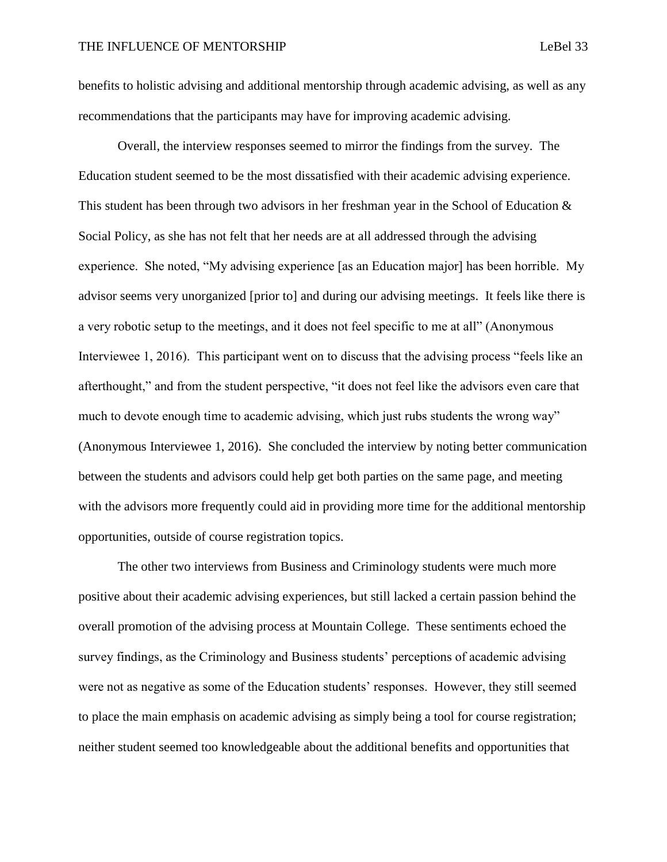benefits to holistic advising and additional mentorship through academic advising, as well as any recommendations that the participants may have for improving academic advising.

Overall, the interview responses seemed to mirror the findings from the survey. The Education student seemed to be the most dissatisfied with their academic advising experience. This student has been through two advisors in her freshman year in the School of Education  $\&$ Social Policy, as she has not felt that her needs are at all addressed through the advising experience. She noted, "My advising experience [as an Education major] has been horrible. My advisor seems very unorganized [prior to] and during our advising meetings. It feels like there is a very robotic setup to the meetings, and it does not feel specific to me at all" (Anonymous Interviewee 1, 2016). This participant went on to discuss that the advising process "feels like an afterthought," and from the student perspective, "it does not feel like the advisors even care that much to devote enough time to academic advising, which just rubs students the wrong way" (Anonymous Interviewee 1, 2016). She concluded the interview by noting better communication between the students and advisors could help get both parties on the same page, and meeting with the advisors more frequently could aid in providing more time for the additional mentorship opportunities, outside of course registration topics.

The other two interviews from Business and Criminology students were much more positive about their academic advising experiences, but still lacked a certain passion behind the overall promotion of the advising process at Mountain College. These sentiments echoed the survey findings, as the Criminology and Business students' perceptions of academic advising were not as negative as some of the Education students' responses. However, they still seemed to place the main emphasis on academic advising as simply being a tool for course registration; neither student seemed too knowledgeable about the additional benefits and opportunities that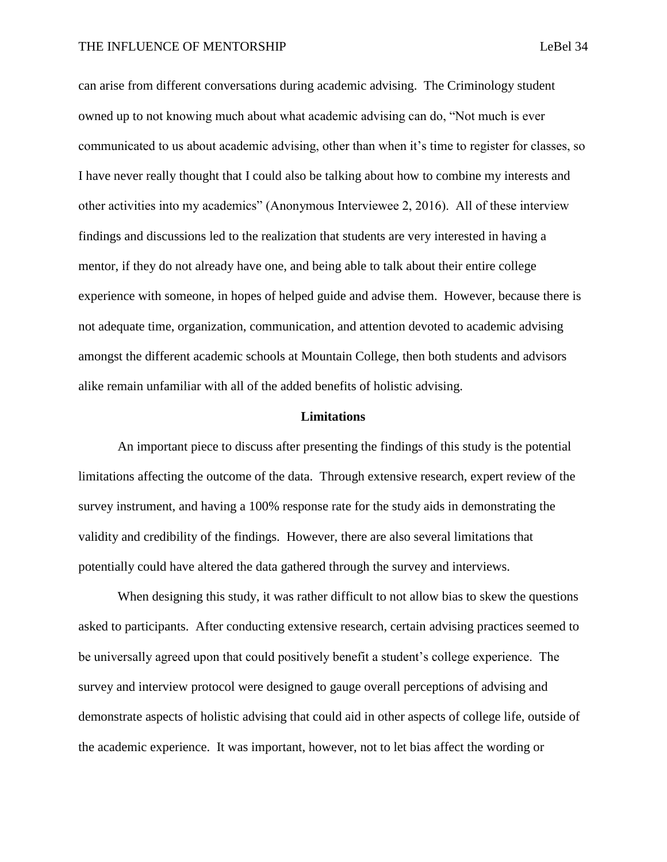can arise from different conversations during academic advising. The Criminology student owned up to not knowing much about what academic advising can do, "Not much is ever communicated to us about academic advising, other than when it's time to register for classes, so I have never really thought that I could also be talking about how to combine my interests and other activities into my academics" (Anonymous Interviewee 2, 2016). All of these interview findings and discussions led to the realization that students are very interested in having a mentor, if they do not already have one, and being able to talk about their entire college experience with someone, in hopes of helped guide and advise them. However, because there is not adequate time, organization, communication, and attention devoted to academic advising amongst the different academic schools at Mountain College, then both students and advisors alike remain unfamiliar with all of the added benefits of holistic advising.

#### **Limitations**

An important piece to discuss after presenting the findings of this study is the potential limitations affecting the outcome of the data. Through extensive research, expert review of the survey instrument, and having a 100% response rate for the study aids in demonstrating the validity and credibility of the findings. However, there are also several limitations that potentially could have altered the data gathered through the survey and interviews.

When designing this study, it was rather difficult to not allow bias to skew the questions asked to participants. After conducting extensive research, certain advising practices seemed to be universally agreed upon that could positively benefit a student's college experience. The survey and interview protocol were designed to gauge overall perceptions of advising and demonstrate aspects of holistic advising that could aid in other aspects of college life, outside of the academic experience. It was important, however, not to let bias affect the wording or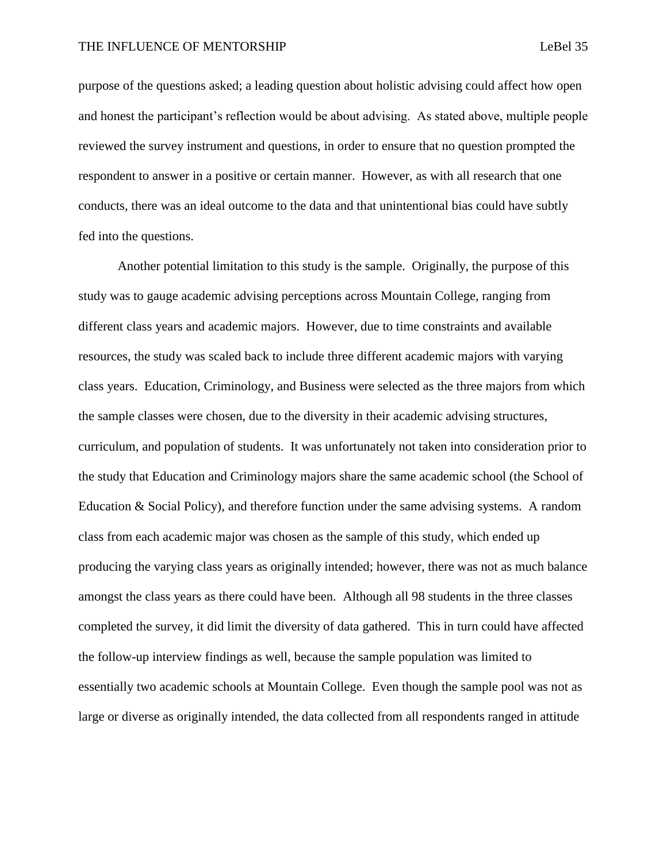purpose of the questions asked; a leading question about holistic advising could affect how open and honest the participant's reflection would be about advising. As stated above, multiple people reviewed the survey instrument and questions, in order to ensure that no question prompted the respondent to answer in a positive or certain manner. However, as with all research that one conducts, there was an ideal outcome to the data and that unintentional bias could have subtly fed into the questions.

Another potential limitation to this study is the sample. Originally, the purpose of this study was to gauge academic advising perceptions across Mountain College, ranging from different class years and academic majors. However, due to time constraints and available resources, the study was scaled back to include three different academic majors with varying class years. Education, Criminology, and Business were selected as the three majors from which the sample classes were chosen, due to the diversity in their academic advising structures, curriculum, and population of students. It was unfortunately not taken into consideration prior to the study that Education and Criminology majors share the same academic school (the School of Education & Social Policy), and therefore function under the same advising systems. A random class from each academic major was chosen as the sample of this study, which ended up producing the varying class years as originally intended; however, there was not as much balance amongst the class years as there could have been. Although all 98 students in the three classes completed the survey, it did limit the diversity of data gathered. This in turn could have affected the follow-up interview findings as well, because the sample population was limited to essentially two academic schools at Mountain College. Even though the sample pool was not as large or diverse as originally intended, the data collected from all respondents ranged in attitude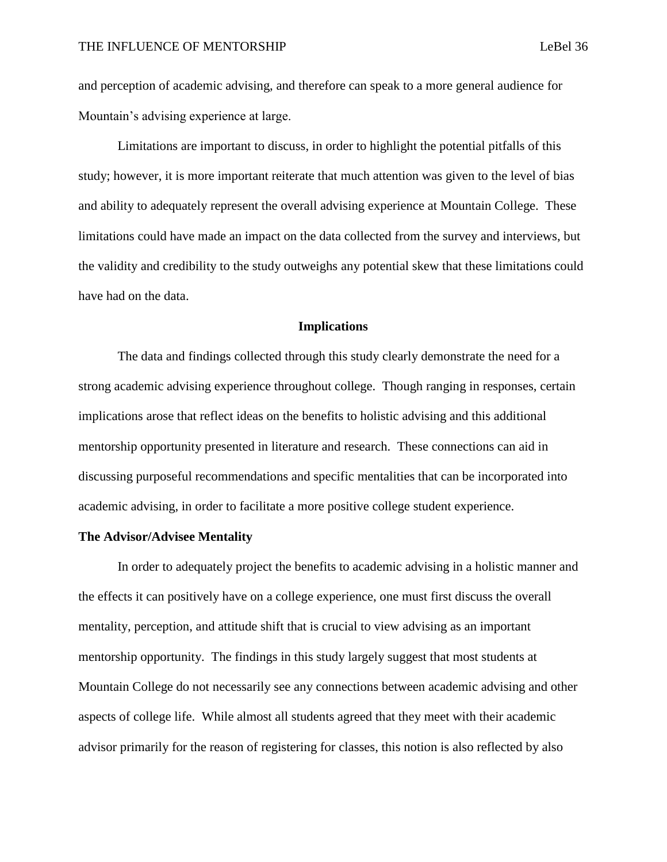and perception of academic advising, and therefore can speak to a more general audience for Mountain's advising experience at large.

Limitations are important to discuss, in order to highlight the potential pitfalls of this study; however, it is more important reiterate that much attention was given to the level of bias and ability to adequately represent the overall advising experience at Mountain College. These limitations could have made an impact on the data collected from the survey and interviews, but the validity and credibility to the study outweighs any potential skew that these limitations could have had on the data.

#### **Implications**

The data and findings collected through this study clearly demonstrate the need for a strong academic advising experience throughout college. Though ranging in responses, certain implications arose that reflect ideas on the benefits to holistic advising and this additional mentorship opportunity presented in literature and research. These connections can aid in discussing purposeful recommendations and specific mentalities that can be incorporated into academic advising, in order to facilitate a more positive college student experience.

### **The Advisor/Advisee Mentality**

In order to adequately project the benefits to academic advising in a holistic manner and the effects it can positively have on a college experience, one must first discuss the overall mentality, perception, and attitude shift that is crucial to view advising as an important mentorship opportunity. The findings in this study largely suggest that most students at Mountain College do not necessarily see any connections between academic advising and other aspects of college life. While almost all students agreed that they meet with their academic advisor primarily for the reason of registering for classes, this notion is also reflected by also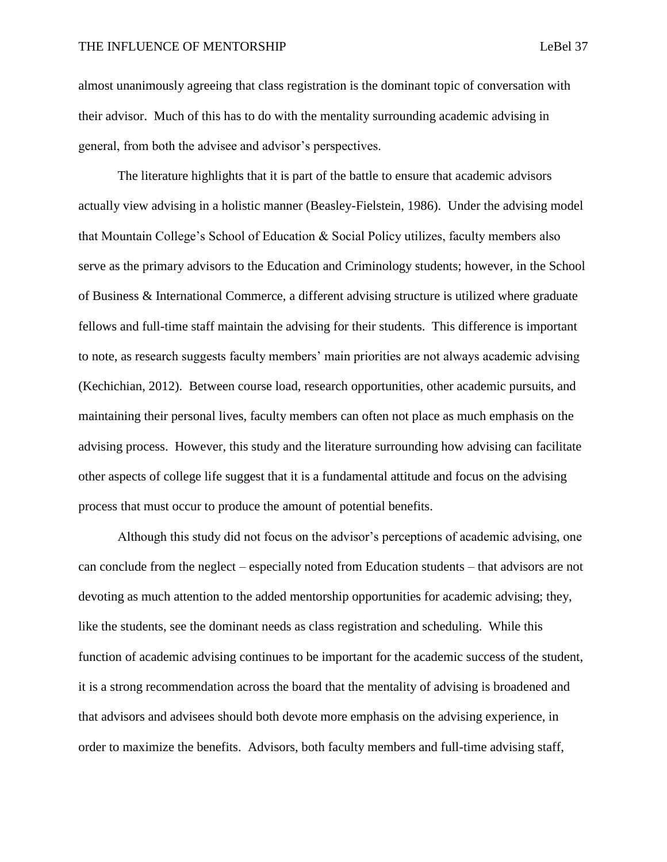almost unanimously agreeing that class registration is the dominant topic of conversation with their advisor. Much of this has to do with the mentality surrounding academic advising in general, from both the advisee and advisor's perspectives.

The literature highlights that it is part of the battle to ensure that academic advisors actually view advising in a holistic manner (Beasley-Fielstein, 1986). Under the advising model that Mountain College's School of Education & Social Policy utilizes, faculty members also serve as the primary advisors to the Education and Criminology students; however, in the School of Business & International Commerce, a different advising structure is utilized where graduate fellows and full-time staff maintain the advising for their students. This difference is important to note, as research suggests faculty members' main priorities are not always academic advising (Kechichian, 2012). Between course load, research opportunities, other academic pursuits, and maintaining their personal lives, faculty members can often not place as much emphasis on the advising process. However, this study and the literature surrounding how advising can facilitate other aspects of college life suggest that it is a fundamental attitude and focus on the advising process that must occur to produce the amount of potential benefits.

Although this study did not focus on the advisor's perceptions of academic advising, one can conclude from the neglect – especially noted from Education students – that advisors are not devoting as much attention to the added mentorship opportunities for academic advising; they, like the students, see the dominant needs as class registration and scheduling. While this function of academic advising continues to be important for the academic success of the student, it is a strong recommendation across the board that the mentality of advising is broadened and that advisors and advisees should both devote more emphasis on the advising experience, in order to maximize the benefits. Advisors, both faculty members and full-time advising staff,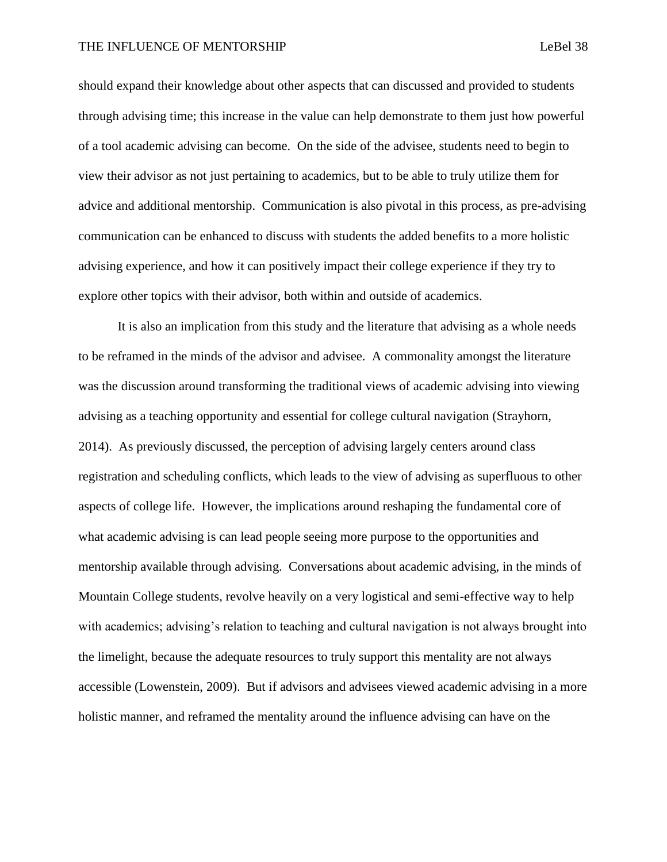should expand their knowledge about other aspects that can discussed and provided to students through advising time; this increase in the value can help demonstrate to them just how powerful of a tool academic advising can become. On the side of the advisee, students need to begin to view their advisor as not just pertaining to academics, but to be able to truly utilize them for advice and additional mentorship. Communication is also pivotal in this process, as pre-advising communication can be enhanced to discuss with students the added benefits to a more holistic advising experience, and how it can positively impact their college experience if they try to explore other topics with their advisor, both within and outside of academics.

It is also an implication from this study and the literature that advising as a whole needs to be reframed in the minds of the advisor and advisee. A commonality amongst the literature was the discussion around transforming the traditional views of academic advising into viewing advising as a teaching opportunity and essential for college cultural navigation (Strayhorn, 2014). As previously discussed, the perception of advising largely centers around class registration and scheduling conflicts, which leads to the view of advising as superfluous to other aspects of college life. However, the implications around reshaping the fundamental core of what academic advising is can lead people seeing more purpose to the opportunities and mentorship available through advising. Conversations about academic advising, in the minds of Mountain College students, revolve heavily on a very logistical and semi-effective way to help with academics; advising's relation to teaching and cultural navigation is not always brought into the limelight, because the adequate resources to truly support this mentality are not always accessible (Lowenstein, 2009). But if advisors and advisees viewed academic advising in a more holistic manner, and reframed the mentality around the influence advising can have on the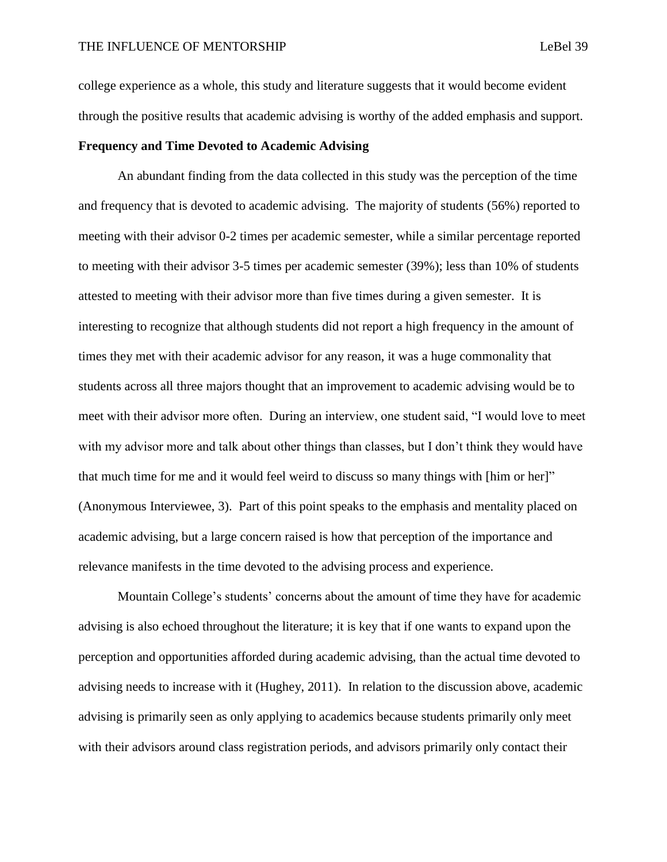college experience as a whole, this study and literature suggests that it would become evident through the positive results that academic advising is worthy of the added emphasis and support.

### **Frequency and Time Devoted to Academic Advising**

An abundant finding from the data collected in this study was the perception of the time and frequency that is devoted to academic advising. The majority of students (56%) reported to meeting with their advisor 0-2 times per academic semester, while a similar percentage reported to meeting with their advisor 3-5 times per academic semester (39%); less than 10% of students attested to meeting with their advisor more than five times during a given semester. It is interesting to recognize that although students did not report a high frequency in the amount of times they met with their academic advisor for any reason, it was a huge commonality that students across all three majors thought that an improvement to academic advising would be to meet with their advisor more often. During an interview, one student said, "I would love to meet with my advisor more and talk about other things than classes, but I don't think they would have that much time for me and it would feel weird to discuss so many things with [him or her]" (Anonymous Interviewee, 3). Part of this point speaks to the emphasis and mentality placed on academic advising, but a large concern raised is how that perception of the importance and relevance manifests in the time devoted to the advising process and experience.

Mountain College's students' concerns about the amount of time they have for academic advising is also echoed throughout the literature; it is key that if one wants to expand upon the perception and opportunities afforded during academic advising, than the actual time devoted to advising needs to increase with it (Hughey, 2011). In relation to the discussion above, academic advising is primarily seen as only applying to academics because students primarily only meet with their advisors around class registration periods, and advisors primarily only contact their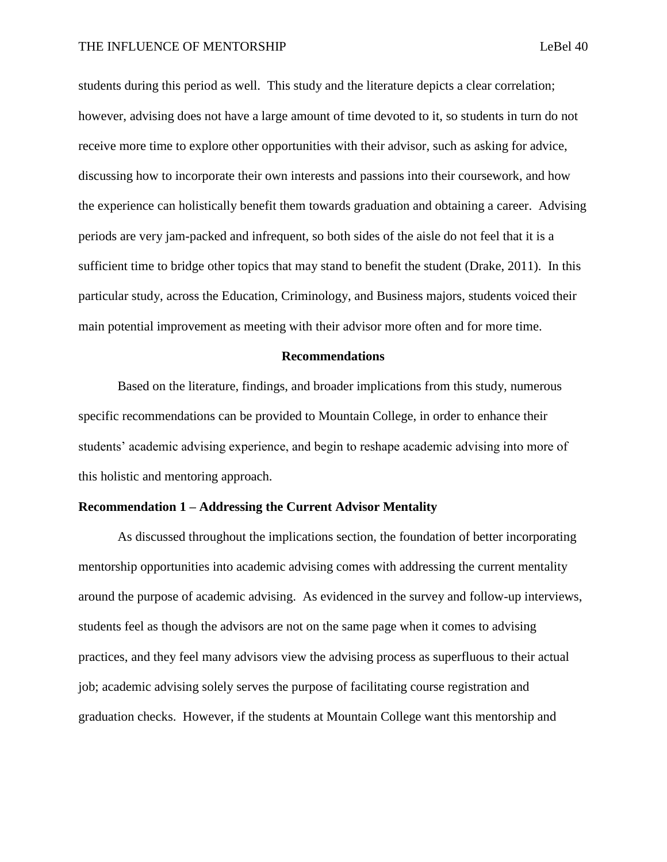students during this period as well. This study and the literature depicts a clear correlation; however, advising does not have a large amount of time devoted to it, so students in turn do not receive more time to explore other opportunities with their advisor, such as asking for advice, discussing how to incorporate their own interests and passions into their coursework, and how the experience can holistically benefit them towards graduation and obtaining a career. Advising periods are very jam-packed and infrequent, so both sides of the aisle do not feel that it is a sufficient time to bridge other topics that may stand to benefit the student (Drake, 2011). In this particular study, across the Education, Criminology, and Business majors, students voiced their main potential improvement as meeting with their advisor more often and for more time.

#### **Recommendations**

Based on the literature, findings, and broader implications from this study, numerous specific recommendations can be provided to Mountain College, in order to enhance their students' academic advising experience, and begin to reshape academic advising into more of this holistic and mentoring approach.

### **Recommendation 1 – Addressing the Current Advisor Mentality**

As discussed throughout the implications section, the foundation of better incorporating mentorship opportunities into academic advising comes with addressing the current mentality around the purpose of academic advising. As evidenced in the survey and follow-up interviews, students feel as though the advisors are not on the same page when it comes to advising practices, and they feel many advisors view the advising process as superfluous to their actual job; academic advising solely serves the purpose of facilitating course registration and graduation checks. However, if the students at Mountain College want this mentorship and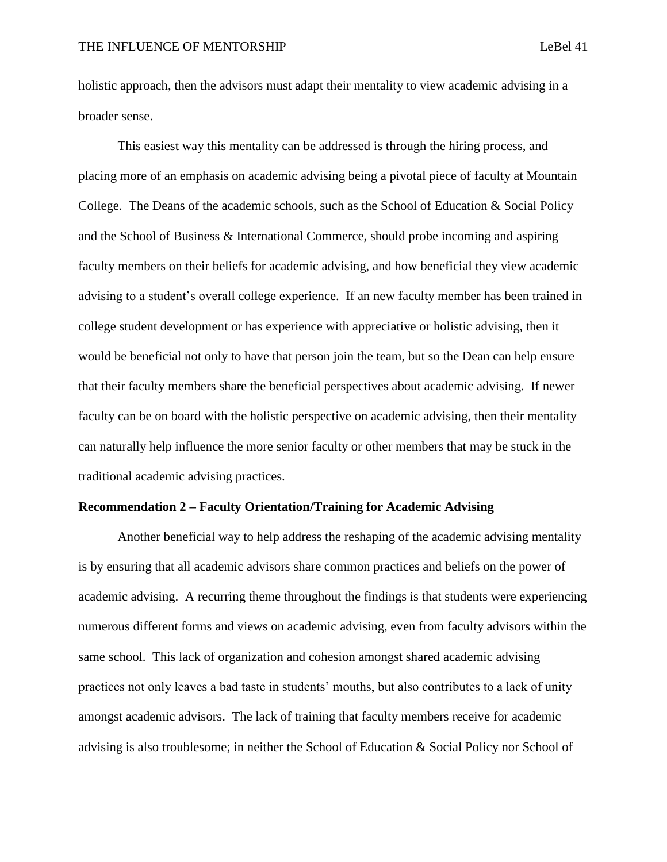holistic approach, then the advisors must adapt their mentality to view academic advising in a broader sense.

This easiest way this mentality can be addressed is through the hiring process, and placing more of an emphasis on academic advising being a pivotal piece of faculty at Mountain College. The Deans of the academic schools, such as the School of Education & Social Policy and the School of Business & International Commerce, should probe incoming and aspiring faculty members on their beliefs for academic advising, and how beneficial they view academic advising to a student's overall college experience. If an new faculty member has been trained in college student development or has experience with appreciative or holistic advising, then it would be beneficial not only to have that person join the team, but so the Dean can help ensure that their faculty members share the beneficial perspectives about academic advising. If newer faculty can be on board with the holistic perspective on academic advising, then their mentality can naturally help influence the more senior faculty or other members that may be stuck in the traditional academic advising practices.

### **Recommendation 2 – Faculty Orientation/Training for Academic Advising**

Another beneficial way to help address the reshaping of the academic advising mentality is by ensuring that all academic advisors share common practices and beliefs on the power of academic advising. A recurring theme throughout the findings is that students were experiencing numerous different forms and views on academic advising, even from faculty advisors within the same school. This lack of organization and cohesion amongst shared academic advising practices not only leaves a bad taste in students' mouths, but also contributes to a lack of unity amongst academic advisors. The lack of training that faculty members receive for academic advising is also troublesome; in neither the School of Education & Social Policy nor School of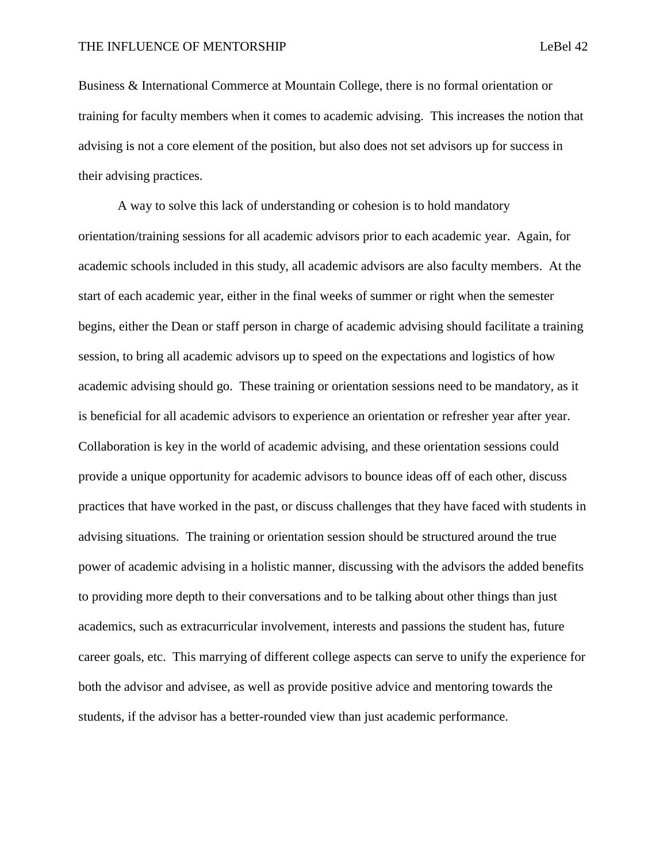Business & International Commerce at Mountain College, there is no formal orientation or training for faculty members when it comes to academic advising. This increases the notion that advising is not a core element of the position, but also does not set advisors up for success in their advising practices.

A way to solve this lack of understanding or cohesion is to hold mandatory orientation/training sessions for all academic advisors prior to each academic year. Again, for academic schools included in this study, all academic advisors are also faculty members. At the start of each academic year, either in the final weeks of summer or right when the semester begins, either the Dean or staff person in charge of academic advising should facilitate a training session, to bring all academic advisors up to speed on the expectations and logistics of how academic advising should go. These training or orientation sessions need to be mandatory, as it is beneficial for all academic advisors to experience an orientation or refresher year after year. Collaboration is key in the world of academic advising, and these orientation sessions could provide a unique opportunity for academic advisors to bounce ideas off of each other, discuss practices that have worked in the past, or discuss challenges that they have faced with students in advising situations. The training or orientation session should be structured around the true power of academic advising in a holistic manner, discussing with the advisors the added benefits to providing more depth to their conversations and to be talking about other things than just academics, such as extracurricular involvement, interests and passions the student has, future career goals, etc. This marrying of different college aspects can serve to unify the experience for both the advisor and advisee, as well as provide positive advice and mentoring towards the students, if the advisor has a better-rounded view than just academic performance.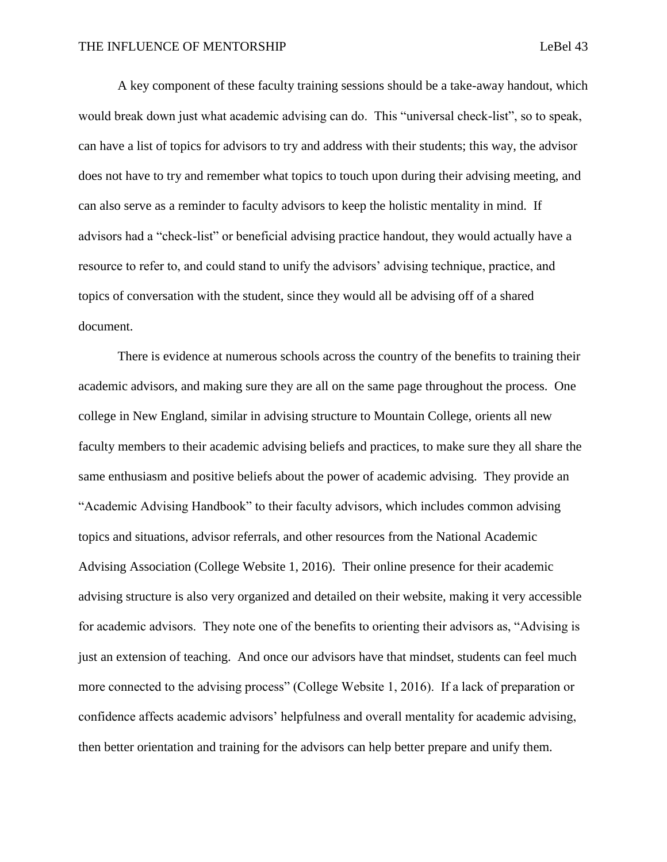A key component of these faculty training sessions should be a take-away handout, which would break down just what academic advising can do. This "universal check-list", so to speak,

can have a list of topics for advisors to try and address with their students; this way, the advisor does not have to try and remember what topics to touch upon during their advising meeting, and can also serve as a reminder to faculty advisors to keep the holistic mentality in mind. If advisors had a "check-list" or beneficial advising practice handout, they would actually have a resource to refer to, and could stand to unify the advisors' advising technique, practice, and topics of conversation with the student, since they would all be advising off of a shared document.

There is evidence at numerous schools across the country of the benefits to training their academic advisors, and making sure they are all on the same page throughout the process. One college in New England, similar in advising structure to Mountain College, orients all new faculty members to their academic advising beliefs and practices, to make sure they all share the same enthusiasm and positive beliefs about the power of academic advising. They provide an "Academic Advising Handbook" to their faculty advisors, which includes common advising topics and situations, advisor referrals, and other resources from the National Academic Advising Association (College Website 1, 2016). Their online presence for their academic advising structure is also very organized and detailed on their website, making it very accessible for academic advisors. They note one of the benefits to orienting their advisors as, "Advising is just an extension of teaching. And once our advisors have that mindset, students can feel much more connected to the advising process" (College Website 1, 2016). If a lack of preparation or confidence affects academic advisors' helpfulness and overall mentality for academic advising, then better orientation and training for the advisors can help better prepare and unify them.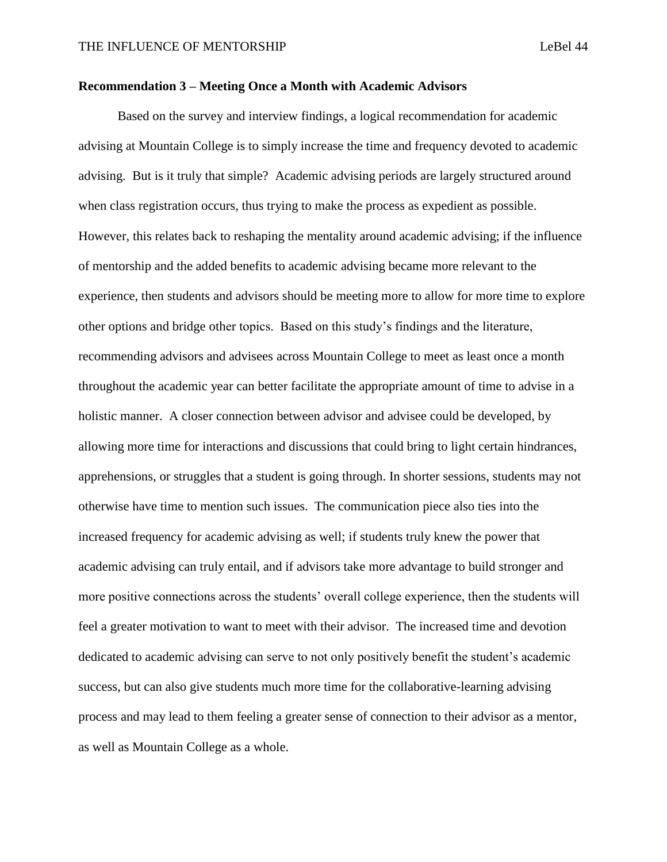### **Recommendation 3 – Meeting Once a Month with Academic Advisors**

Based on the survey and interview findings, a logical recommendation for academic advising at Mountain College is to simply increase the time and frequency devoted to academic advising. But is it truly that simple? Academic advising periods are largely structured around when class registration occurs, thus trying to make the process as expedient as possible. However, this relates back to reshaping the mentality around academic advising; if the influence of mentorship and the added benefits to academic advising became more relevant to the experience, then students and advisors should be meeting more to allow for more time to explore other options and bridge other topics. Based on this study's findings and the literature, recommending advisors and advisees across Mountain College to meet as least once a month throughout the academic year can better facilitate the appropriate amount of time to advise in a holistic manner. A closer connection between advisor and advisee could be developed, by allowing more time for interactions and discussions that could bring to light certain hindrances, apprehensions, or struggles that a student is going through. In shorter sessions, students may not otherwise have time to mention such issues. The communication piece also ties into the increased frequency for academic advising as well; if students truly knew the power that academic advising can truly entail, and if advisors take more advantage to build stronger and more positive connections across the students' overall college experience, then the students will feel a greater motivation to want to meet with their advisor. The increased time and devotion dedicated to academic advising can serve to not only positively benefit the student's academic success, but can also give students much more time for the collaborative-learning advising process and may lead to them feeling a greater sense of connection to their advisor as a mentor, as well as Mountain College as a whole.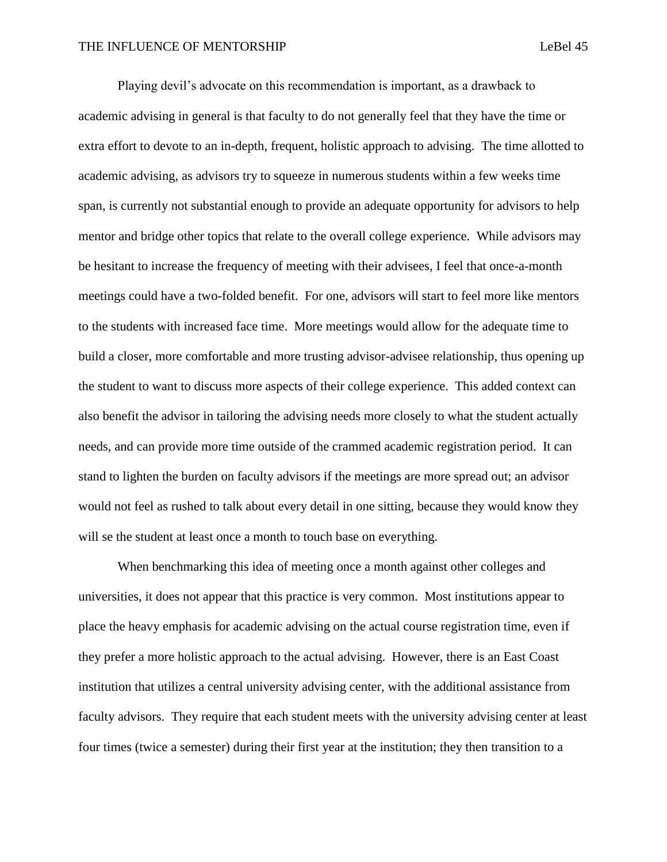Playing devil's advocate on this recommendation is important, as a drawback to academic advising in general is that faculty to do not generally feel that they have the time or extra effort to devote to an in-depth, frequent, holistic approach to advising. The time allotted to academic advising, as advisors try to squeeze in numerous students within a few weeks time span, is currently not substantial enough to provide an adequate opportunity for advisors to help mentor and bridge other topics that relate to the overall college experience. While advisors may be hesitant to increase the frequency of meeting with their advisees, I feel that once-a-month meetings could have a two-folded benefit. For one, advisors will start to feel more like mentors to the students with increased face time. More meetings would allow for the adequate time to build a closer, more comfortable and more trusting advisor-advisee relationship, thus opening up the student to want to discuss more aspects of their college experience. This added context can also benefit the advisor in tailoring the advising needs more closely to what the student actually needs, and can provide more time outside of the crammed academic registration period. It can stand to lighten the burden on faculty advisors if the meetings are more spread out; an advisor would not feel as rushed to talk about every detail in one sitting, because they would know they will se the student at least once a month to touch base on everything.

When benchmarking this idea of meeting once a month against other colleges and universities, it does not appear that this practice is very common. Most institutions appear to place the heavy emphasis for academic advising on the actual course registration time, even if they prefer a more holistic approach to the actual advising. However, there is an East Coast institution that utilizes a central university advising center, with the additional assistance from faculty advisors. They require that each student meets with the university advising center at least four times (twice a semester) during their first year at the institution; they then transition to a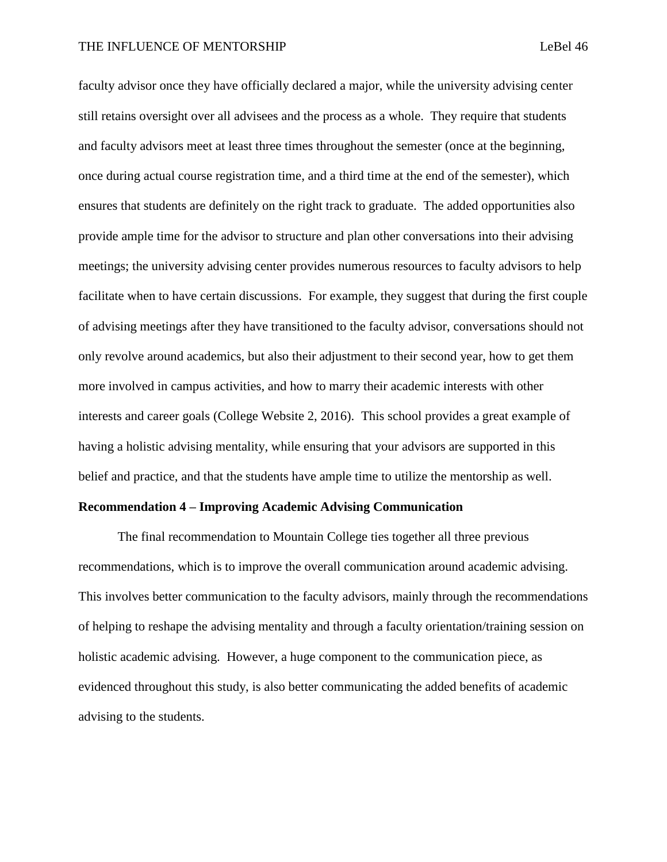faculty advisor once they have officially declared a major, while the university advising center still retains oversight over all advisees and the process as a whole. They require that students and faculty advisors meet at least three times throughout the semester (once at the beginning, once during actual course registration time, and a third time at the end of the semester), which ensures that students are definitely on the right track to graduate. The added opportunities also provide ample time for the advisor to structure and plan other conversations into their advising meetings; the university advising center provides numerous resources to faculty advisors to help facilitate when to have certain discussions. For example, they suggest that during the first couple of advising meetings after they have transitioned to the faculty advisor, conversations should not only revolve around academics, but also their adjustment to their second year, how to get them more involved in campus activities, and how to marry their academic interests with other interests and career goals (College Website 2, 2016). This school provides a great example of having a holistic advising mentality, while ensuring that your advisors are supported in this belief and practice, and that the students have ample time to utilize the mentorship as well.

### **Recommendation 4 – Improving Academic Advising Communication**

The final recommendation to Mountain College ties together all three previous recommendations, which is to improve the overall communication around academic advising. This involves better communication to the faculty advisors, mainly through the recommendations of helping to reshape the advising mentality and through a faculty orientation/training session on holistic academic advising. However, a huge component to the communication piece, as evidenced throughout this study, is also better communicating the added benefits of academic advising to the students.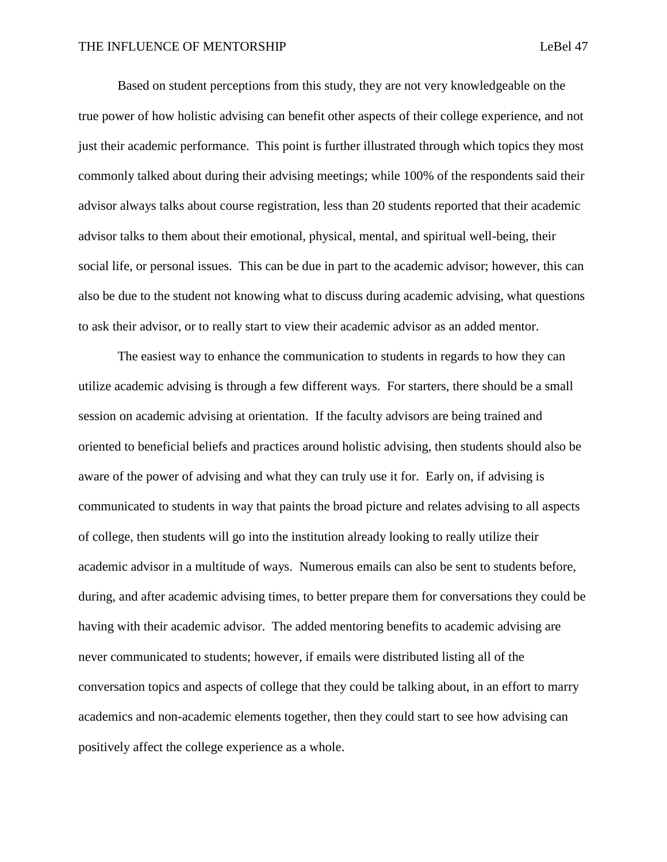Based on student perceptions from this study, they are not very knowledgeable on the true power of how holistic advising can benefit other aspects of their college experience, and not just their academic performance. This point is further illustrated through which topics they most commonly talked about during their advising meetings; while 100% of the respondents said their advisor always talks about course registration, less than 20 students reported that their academic advisor talks to them about their emotional, physical, mental, and spiritual well-being, their social life, or personal issues. This can be due in part to the academic advisor; however, this can also be due to the student not knowing what to discuss during academic advising, what questions to ask their advisor, or to really start to view their academic advisor as an added mentor.

The easiest way to enhance the communication to students in regards to how they can utilize academic advising is through a few different ways. For starters, there should be a small session on academic advising at orientation. If the faculty advisors are being trained and oriented to beneficial beliefs and practices around holistic advising, then students should also be aware of the power of advising and what they can truly use it for. Early on, if advising is communicated to students in way that paints the broad picture and relates advising to all aspects of college, then students will go into the institution already looking to really utilize their academic advisor in a multitude of ways. Numerous emails can also be sent to students before, during, and after academic advising times, to better prepare them for conversations they could be having with their academic advisor. The added mentoring benefits to academic advising are never communicated to students; however, if emails were distributed listing all of the conversation topics and aspects of college that they could be talking about, in an effort to marry academics and non-academic elements together, then they could start to see how advising can positively affect the college experience as a whole.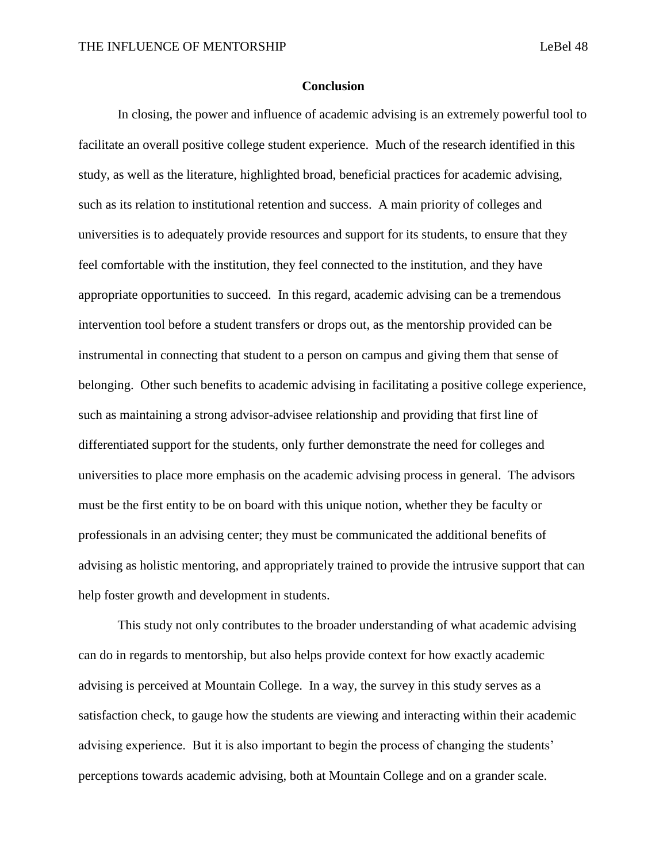### **Conclusion**

In closing, the power and influence of academic advising is an extremely powerful tool to facilitate an overall positive college student experience. Much of the research identified in this study, as well as the literature, highlighted broad, beneficial practices for academic advising, such as its relation to institutional retention and success. A main priority of colleges and universities is to adequately provide resources and support for its students, to ensure that they feel comfortable with the institution, they feel connected to the institution, and they have appropriate opportunities to succeed. In this regard, academic advising can be a tremendous intervention tool before a student transfers or drops out, as the mentorship provided can be instrumental in connecting that student to a person on campus and giving them that sense of belonging. Other such benefits to academic advising in facilitating a positive college experience, such as maintaining a strong advisor-advisee relationship and providing that first line of differentiated support for the students, only further demonstrate the need for colleges and universities to place more emphasis on the academic advising process in general. The advisors must be the first entity to be on board with this unique notion, whether they be faculty or professionals in an advising center; they must be communicated the additional benefits of advising as holistic mentoring, and appropriately trained to provide the intrusive support that can help foster growth and development in students.

This study not only contributes to the broader understanding of what academic advising can do in regards to mentorship, but also helps provide context for how exactly academic advising is perceived at Mountain College. In a way, the survey in this study serves as a satisfaction check, to gauge how the students are viewing and interacting within their academic advising experience. But it is also important to begin the process of changing the students' perceptions towards academic advising, both at Mountain College and on a grander scale.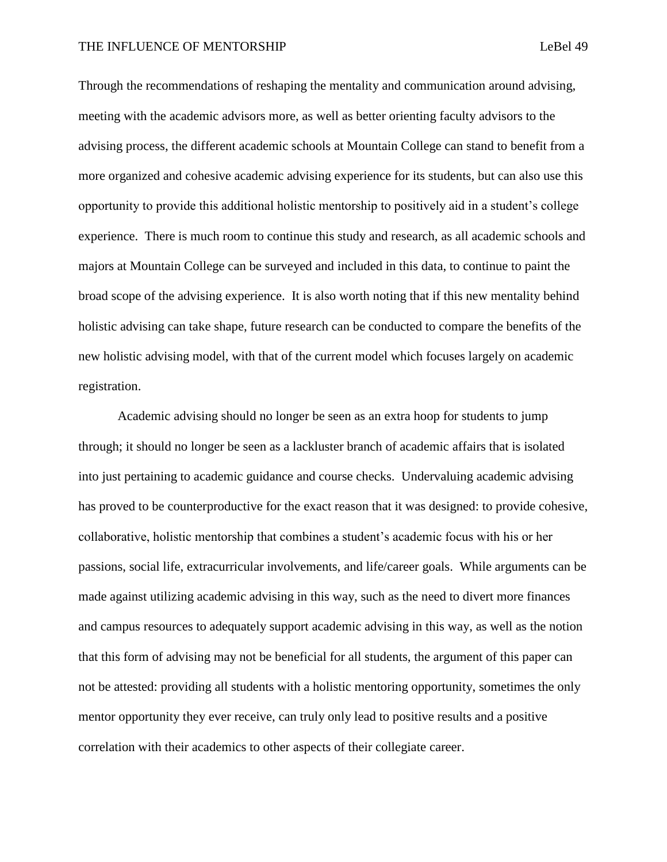Through the recommendations of reshaping the mentality and communication around advising, meeting with the academic advisors more, as well as better orienting faculty advisors to the advising process, the different academic schools at Mountain College can stand to benefit from a more organized and cohesive academic advising experience for its students, but can also use this opportunity to provide this additional holistic mentorship to positively aid in a student's college experience. There is much room to continue this study and research, as all academic schools and majors at Mountain College can be surveyed and included in this data, to continue to paint the broad scope of the advising experience. It is also worth noting that if this new mentality behind holistic advising can take shape, future research can be conducted to compare the benefits of the new holistic advising model, with that of the current model which focuses largely on academic registration.

Academic advising should no longer be seen as an extra hoop for students to jump through; it should no longer be seen as a lackluster branch of academic affairs that is isolated into just pertaining to academic guidance and course checks. Undervaluing academic advising has proved to be counterproductive for the exact reason that it was designed: to provide cohesive, collaborative, holistic mentorship that combines a student's academic focus with his or her passions, social life, extracurricular involvements, and life/career goals. While arguments can be made against utilizing academic advising in this way, such as the need to divert more finances and campus resources to adequately support academic advising in this way, as well as the notion that this form of advising may not be beneficial for all students, the argument of this paper can not be attested: providing all students with a holistic mentoring opportunity, sometimes the only mentor opportunity they ever receive, can truly only lead to positive results and a positive correlation with their academics to other aspects of their collegiate career.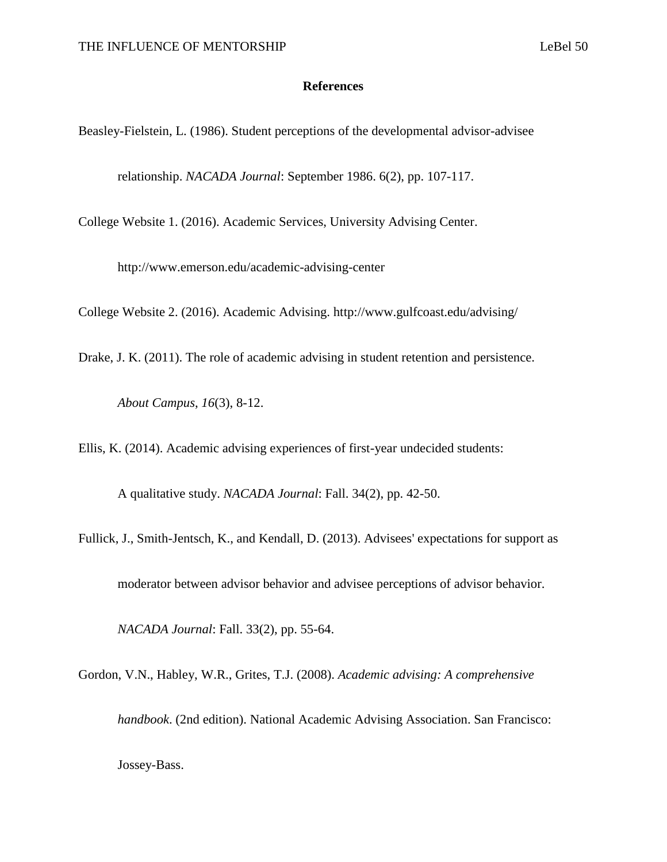### **References**

Beasley-Fielstein, L. (1986). Student perceptions of the developmental advisor-advisee

relationship. *NACADA Journal*: September 1986. 6(2), pp. 107-117.

College Website 1. (2016). Academic Services, University Advising Center.

http://www.emerson.edu/academic-advising-center

College Website 2. (2016). Academic Advising. http://www.gulfcoast.edu/advising/

Drake, J. K. (2011). The role of academic advising in student retention and persistence.

*About Campus*, *16*(3), 8-12.

Ellis, K. (2014). Academic advising experiences of first-year undecided students:

A qualitative study. *NACADA Journal*: Fall. 34(2), pp. 42-50.

Fullick, J., Smith-Jentsch, K., and Kendall, D. (2013). Advisees' expectations for support as

moderator between advisor behavior and advisee perceptions of advisor behavior.

*NACADA Journal*: Fall. 33(2), pp. 55-64.

Gordon, V.N., Habley, W.R., Grites, T.J. (2008). *Academic advising: A comprehensive* 

*handbook*. (2nd edition). National Academic Advising Association. San Francisco: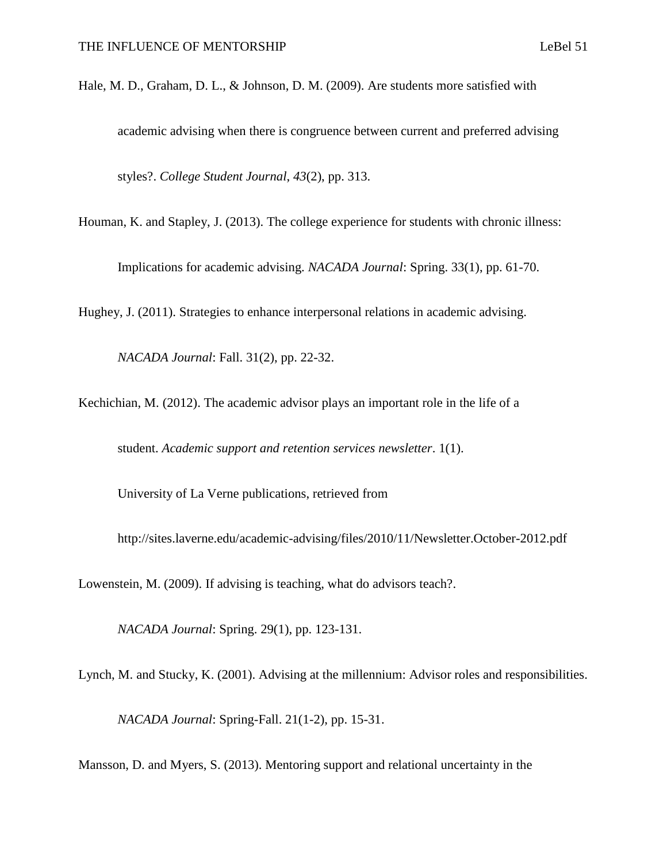- Hale, M. D., Graham, D. L., & Johnson, D. M. (2009). Are students more satisfied with academic advising when there is congruence between current and preferred advising styles?. *College Student Journal*, *43*(2), pp. 313.
- Houman, K. and Stapley, J. (2013). The college experience for students with chronic illness:

Implications for academic advising. *NACADA Journal*: Spring. 33(1), pp. 61-70.

Hughey, J. (2011). Strategies to enhance interpersonal relations in academic advising.

*NACADA Journal*: Fall. 31(2), pp. 22-32.

Kechichian, M. (2012). The academic advisor plays an important role in the life of a

student. *Academic support and retention services newsletter*. 1(1).

University of La Verne publications, retrieved from

http://sites.laverne.edu/academic-advising/files/2010/11/Newsletter.October-2012.pdf

Lowenstein, M. (2009). If advising is teaching, what do advisors teach?.

*NACADA Journal*: Spring. 29(1), pp. 123-131.

Lynch, M. and Stucky, K. (2001). Advising at the millennium: Advisor roles and responsibilities.

*NACADA Journal*: Spring-Fall. 21(1-2), pp. 15-31.

Mansson, D. and Myers, S. (2013). Mentoring support and relational uncertainty in the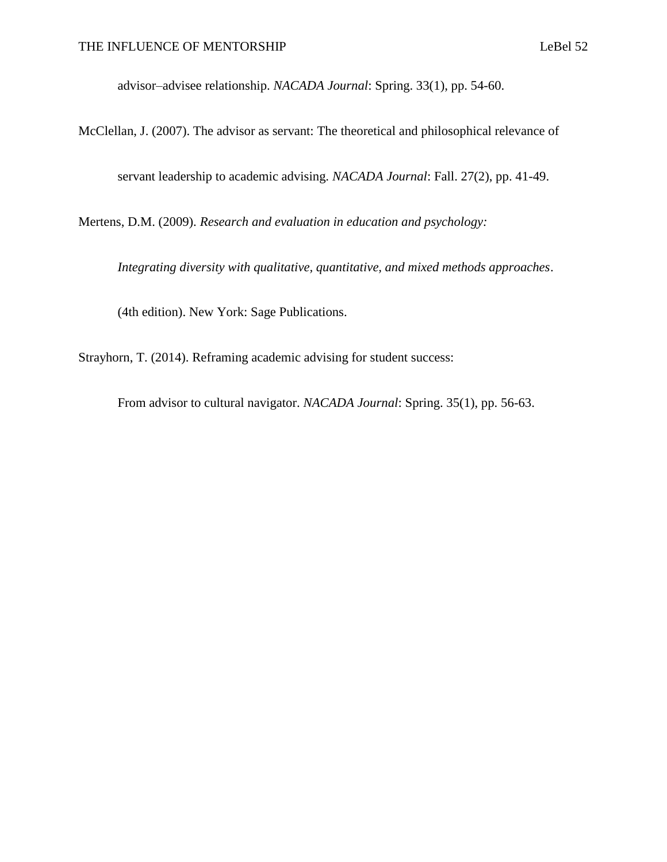advisor–advisee relationship. *NACADA Journal*: Spring. 33(1), pp. 54-60.

McClellan, J. (2007). The advisor as servant: The theoretical and philosophical relevance of servant leadership to academic advising. *NACADA Journal*: Fall. 27(2), pp. 41-49.

Mertens, D.M. (2009). *Research and evaluation in education and psychology:* 

*Integrating diversity with qualitative, quantitative, and mixed methods approaches*.

(4th edition). New York: Sage Publications.

Strayhorn, T. (2014). Reframing academic advising for student success:

From advisor to cultural navigator. *NACADA Journal*: Spring. 35(1), pp. 56-63.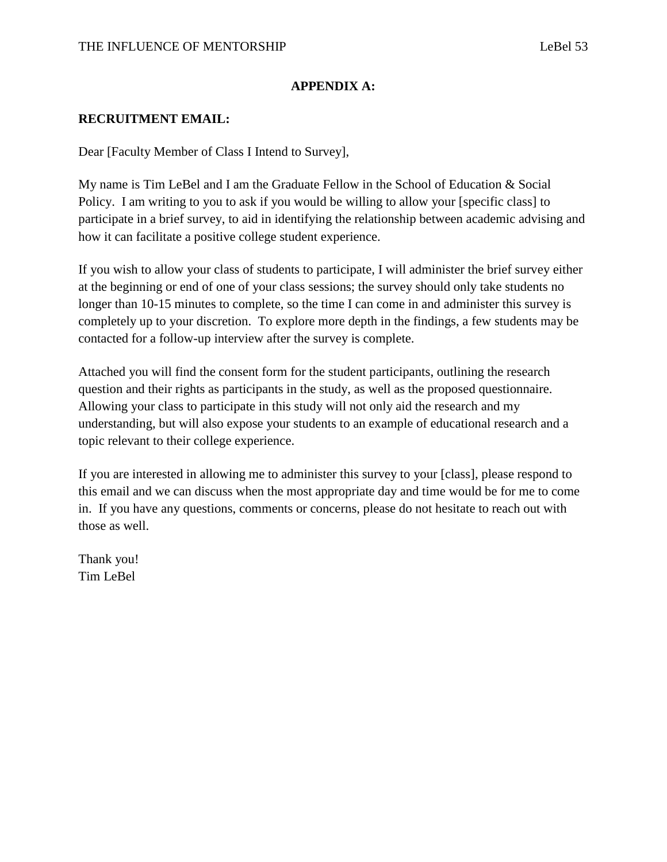### **APPENDIX A:**

### **RECRUITMENT EMAIL:**

Dear [Faculty Member of Class I Intend to Survey],

My name is Tim LeBel and I am the Graduate Fellow in the School of Education & Social Policy. I am writing to you to ask if you would be willing to allow your [specific class] to participate in a brief survey, to aid in identifying the relationship between academic advising and how it can facilitate a positive college student experience.

If you wish to allow your class of students to participate, I will administer the brief survey either at the beginning or end of one of your class sessions; the survey should only take students no longer than 10-15 minutes to complete, so the time I can come in and administer this survey is completely up to your discretion. To explore more depth in the findings, a few students may be contacted for a follow-up interview after the survey is complete.

Attached you will find the consent form for the student participants, outlining the research question and their rights as participants in the study, as well as the proposed questionnaire. Allowing your class to participate in this study will not only aid the research and my understanding, but will also expose your students to an example of educational research and a topic relevant to their college experience.

If you are interested in allowing me to administer this survey to your [class], please respond to this email and we can discuss when the most appropriate day and time would be for me to come in. If you have any questions, comments or concerns, please do not hesitate to reach out with those as well.

Thank you! Tim LeBel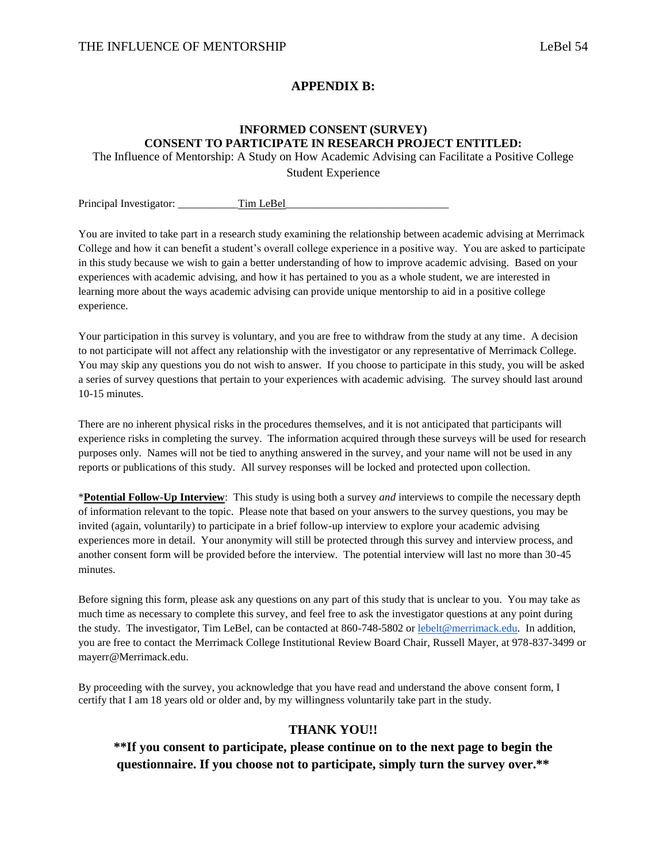### **APPENDIX B:**

### **INFORMED CONSENT (SURVEY) CONSENT TO PARTICIPATE IN RESEARCH PROJECT ENTITLED:**

The Influence of Mentorship: A Study on How Academic Advising can Facilitate a Positive College

Student Experience

Principal Investigator: Tim LeBel

You are invited to take part in a research study examining the relationship between academic advising at Merrimack College and how it can benefit a student's overall college experience in a positive way. You are asked to participate in this study because we wish to gain a better understanding of how to improve academic advising. Based on your experiences with academic advising, and how it has pertained to you as a whole student, we are interested in learning more about the ways academic advising can provide unique mentorship to aid in a positive college experience.

Your participation in this survey is voluntary, and you are free to withdraw from the study at any time. A decision to not participate will not affect any relationship with the investigator or any representative of Merrimack College. You may skip any questions you do not wish to answer. If you choose to participate in this study, you will be asked a series of survey questions that pertain to your experiences with academic advising. The survey should last around 10-15 minutes.

There are no inherent physical risks in the procedures themselves, and it is not anticipated that participants will experience risks in completing the survey. The information acquired through these surveys will be used for research purposes only. Names will not be tied to anything answered in the survey, and your name will not be used in any reports or publications of this study. All survey responses will be locked and protected upon collection.

\***Potential Follow-Up Interview**: This study is using both a survey *and* interviews to compile the necessary depth of information relevant to the topic. Please note that based on your answers to the survey questions, you may be invited (again, voluntarily) to participate in a brief follow-up interview to explore your academic advising experiences more in detail. Your anonymity will still be protected through this survey and interview process, and another consent form will be provided before the interview. The potential interview will last no more than 30-45 minutes.

Before signing this form, please ask any questions on any part of this study that is unclear to you. You may take as much time as necessary to complete this survey, and feel free to ask the investigator questions at any point during the study. The investigator, Tim LeBel, can be contacted at 860-748-5802 o[r lebelt@merrimack.edu.](mailto:lebelt@merrimack.edu) In addition, you are free to contact the Merrimack College Institutional Review Board Chair, Russell Mayer, at 978-837-3499 or mayerr@Merrimack.edu.

By proceeding with the survey, you acknowledge that you have read and understand the above consent form, I certify that I am 18 years old or older and, by my willingness voluntarily take part in the study.

### **THANK YOU!!**

**\*\*If you consent to participate, please continue on to the next page to begin the questionnaire. If you choose not to participate, simply turn the survey over.\*\***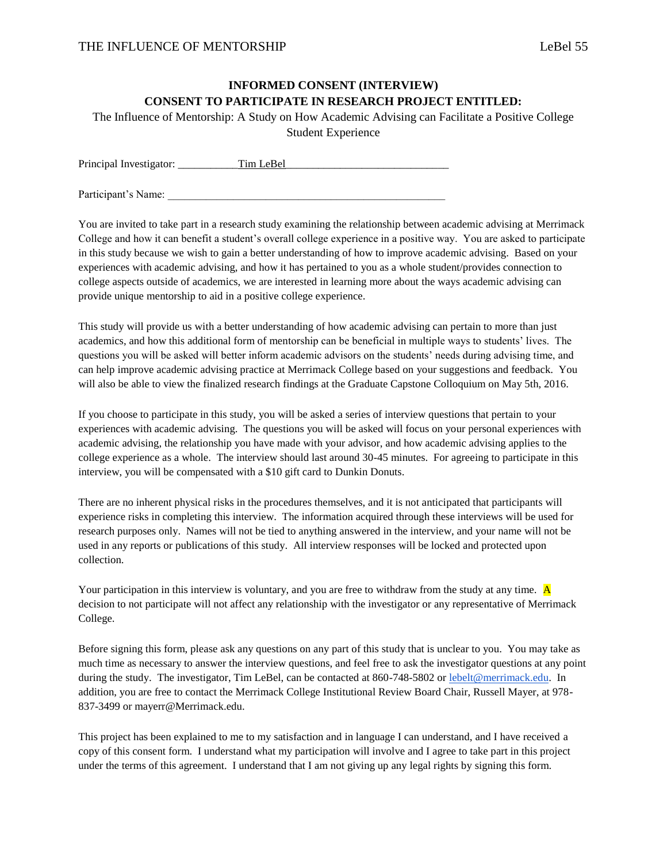### **INFORMED CONSENT (INTERVIEW) CONSENT TO PARTICIPATE IN RESEARCH PROJECT ENTITLED:**

The Influence of Mentorship: A Study on How Academic Advising can Facilitate a Positive College

Student Experience

| Principal Investigator: | Tim LeBel |
|-------------------------|-----------|
|                         |           |

Participant's Name:

You are invited to take part in a research study examining the relationship between academic advising at Merrimack College and how it can benefit a student's overall college experience in a positive way. You are asked to participate in this study because we wish to gain a better understanding of how to improve academic advising. Based on your experiences with academic advising, and how it has pertained to you as a whole student/provides connection to college aspects outside of academics, we are interested in learning more about the ways academic advising can provide unique mentorship to aid in a positive college experience.

This study will provide us with a better understanding of how academic advising can pertain to more than just academics, and how this additional form of mentorship can be beneficial in multiple ways to students' lives. The questions you will be asked will better inform academic advisors on the students' needs during advising time, and can help improve academic advising practice at Merrimack College based on your suggestions and feedback. You will also be able to view the finalized research findings at the Graduate Capstone Colloquium on May 5th, 2016.

If you choose to participate in this study, you will be asked a series of interview questions that pertain to your experiences with academic advising. The questions you will be asked will focus on your personal experiences with academic advising, the relationship you have made with your advisor, and how academic advising applies to the college experience as a whole. The interview should last around 30-45 minutes. For agreeing to participate in this interview, you will be compensated with a \$10 gift card to Dunkin Donuts.

There are no inherent physical risks in the procedures themselves, and it is not anticipated that participants will experience risks in completing this interview. The information acquired through these interviews will be used for research purposes only. Names will not be tied to anything answered in the interview, and your name will not be used in any reports or publications of this study. All interview responses will be locked and protected upon collection.

Your participation in this interview is voluntary, and you are free to withdraw from the study at any time. A decision to not participate will not affect any relationship with the investigator or any representative of Merrimack College.

Before signing this form, please ask any questions on any part of this study that is unclear to you. You may take as much time as necessary to answer the interview questions, and feel free to ask the investigator questions at any point during the study. The investigator, Tim LeBel, can be contacted at 860-748-5802 or [lebelt@merrimack.edu.](mailto:lebelt@merrimack.edu) In addition, you are free to contact the Merrimack College Institutional Review Board Chair, Russell Mayer, at 978- 837-3499 or mayerr@Merrimack.edu.

This project has been explained to me to my satisfaction and in language I can understand, and I have received a copy of this consent form. I understand what my participation will involve and I agree to take part in this project under the terms of this agreement. I understand that I am not giving up any legal rights by signing this form.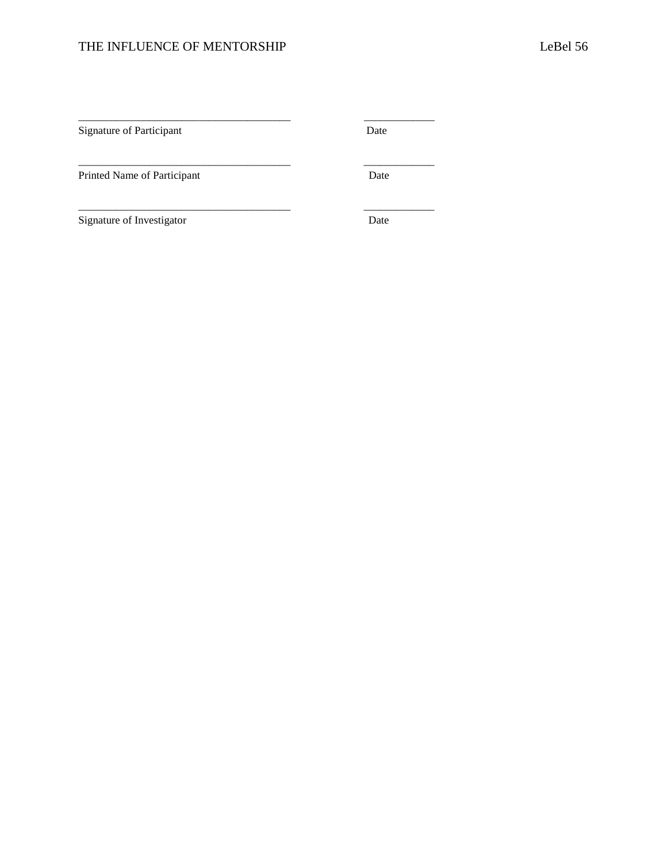# THE INFLUENCE OF MENTORSHIP LeBel 56

\_\_\_\_\_\_\_\_\_\_\_\_\_\_\_\_\_\_\_\_\_\_\_\_\_\_\_\_\_\_\_\_\_\_\_\_\_\_\_ \_\_\_\_\_\_\_\_\_\_\_\_\_

\_\_\_\_\_\_\_\_\_\_\_\_\_\_\_\_\_\_\_\_\_\_\_\_\_\_\_\_\_\_\_\_\_\_\_\_\_\_\_ \_\_\_\_\_\_\_\_\_\_\_\_\_

\_\_\_\_\_\_\_\_\_\_\_\_\_\_\_\_\_\_\_\_\_\_\_\_\_\_\_\_\_\_\_\_\_\_\_\_\_\_\_ \_\_\_\_\_\_\_\_\_\_\_\_\_

Signature of Participant Date

Printed Name of Participant Date

Signature of Investigator Date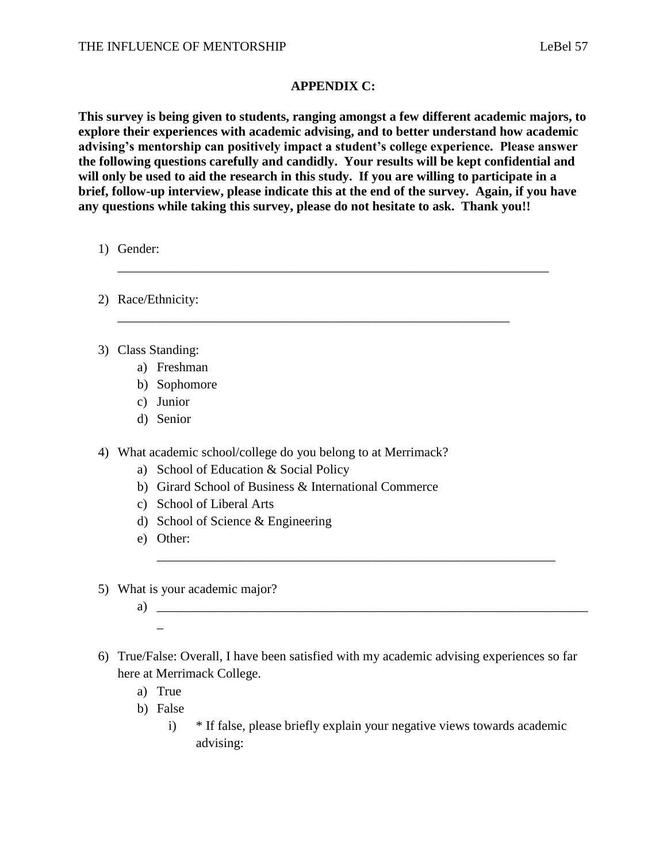### **APPENDIX C:**

**This survey is being given to students, ranging amongst a few different academic majors, to explore their experiences with academic advising, and to better understand how academic advising's mentorship can positively impact a student's college experience. Please answer the following questions carefully and candidly. Your results will be kept confidential and will only be used to aid the research in this study. If you are willing to participate in a brief, follow-up interview, please indicate this at the end of the survey. Again, if you have any questions while taking this survey, please do not hesitate to ask. Thank you!!**

\_\_\_\_\_\_\_\_\_\_\_\_\_\_\_\_\_\_\_\_\_\_\_\_\_\_\_\_\_\_\_\_\_\_\_\_\_\_\_\_\_\_\_\_\_\_\_\_\_\_\_\_\_\_\_\_\_\_\_\_

\_\_\_\_\_\_\_\_\_\_\_\_\_\_\_\_\_\_\_\_\_\_\_\_\_\_\_\_\_\_\_\_\_\_\_\_\_\_\_\_\_\_\_\_\_\_\_\_\_\_\_\_\_\_\_\_\_\_\_\_\_\_\_\_\_\_

1) Gender:

- 2) Race/Ethnicity:
- 3) Class Standing:
	- a) Freshman
	- b) Sophomore
	- c) Junior
	- d) Senior

4) What academic school/college do you belong to at Merrimack?

- a) School of Education & Social Policy
- b) Girard School of Business & International Commerce
- c) School of Liberal Arts
- d) School of Science & Engineering
- e) Other:
- 5) What is your academic major?
	- a)  $\equiv$

\_\_\_\_\_\_\_\_\_\_\_\_\_\_\_\_\_\_\_\_\_\_\_\_\_\_\_\_\_\_\_\_\_\_\_\_\_\_\_\_\_\_\_\_\_\_\_\_\_\_\_\_\_\_\_\_\_\_\_\_\_

- 6) True/False: Overall, I have been satisfied with my academic advising experiences so far here at Merrimack College.
	- a) True
	- b) False
		- i) \* If false, please briefly explain your negative views towards academic advising: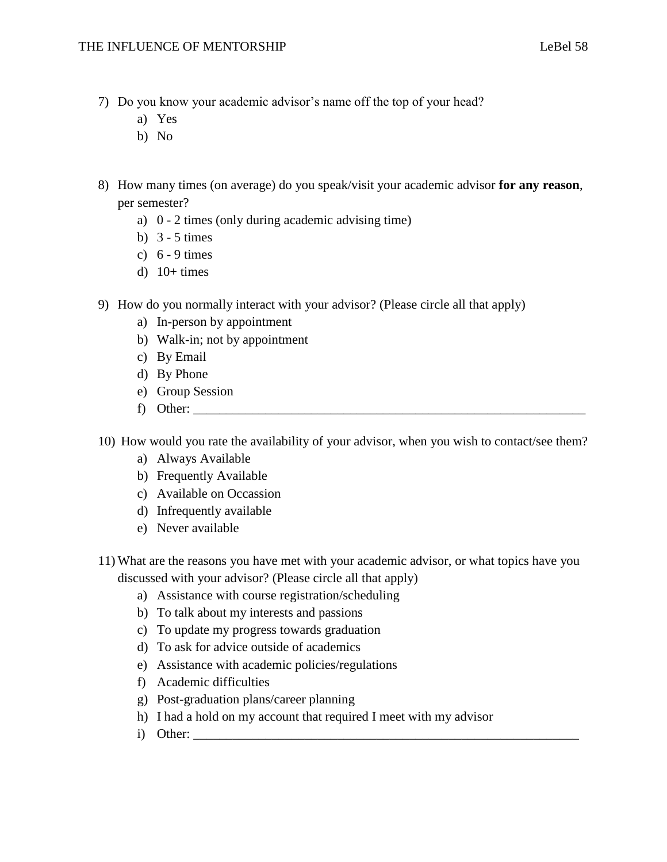- 7) Do you know your academic advisor's name off the top of your head?
	- a) Yes
	- b) No
- 8) How many times (on average) do you speak/visit your academic advisor **for any reason**, per semester?
	- a) 0 2 times (only during academic advising time)
	- b)  $3 5$  times
	- c) 6 9 times
	- d)  $10+ \text{times}$
- 9) How do you normally interact with your advisor? (Please circle all that apply)
	- a) In-person by appointment
	- b) Walk-in; not by appointment
	- c) By Email
	- d) By Phone
	- e) Group Session
	- f) Other: \_\_\_\_\_\_\_\_\_\_\_\_\_\_\_\_\_\_\_\_\_\_\_\_\_\_\_\_\_\_\_\_\_\_\_\_\_\_\_\_\_\_\_\_\_\_\_\_\_\_\_\_\_\_\_\_\_\_\_\_

10) How would you rate the availability of your advisor, when you wish to contact/see them?

- a) Always Available
- b) Frequently Available
- c) Available on Occassion
- d) Infrequently available
- e) Never available
- 11) What are the reasons you have met with your academic advisor, or what topics have you discussed with your advisor? (Please circle all that apply)
	- a) Assistance with course registration/scheduling
	- b) To talk about my interests and passions
	- c) To update my progress towards graduation
	- d) To ask for advice outside of academics
	- e) Assistance with academic policies/regulations
	- f) Academic difficulties
	- g) Post-graduation plans/career planning
	- h) I had a hold on my account that required I meet with my advisor
	- i) Other: \_\_\_\_\_\_\_\_\_\_\_\_\_\_\_\_\_\_\_\_\_\_\_\_\_\_\_\_\_\_\_\_\_\_\_\_\_\_\_\_\_\_\_\_\_\_\_\_\_\_\_\_\_\_\_\_\_\_\_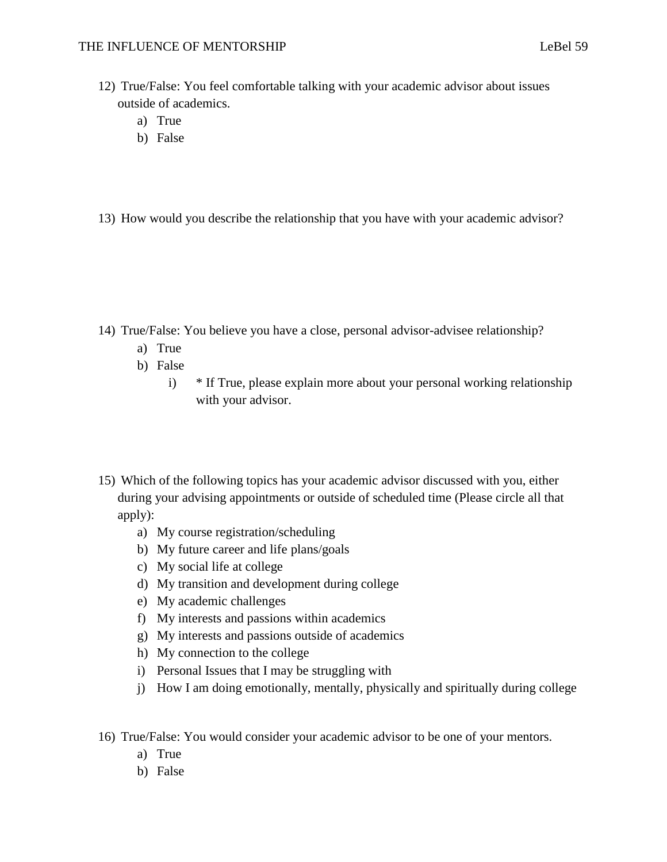- 12) True/False: You feel comfortable talking with your academic advisor about issues outside of academics.
	- a) True
	- b) False
- 13) How would you describe the relationship that you have with your academic advisor?

- 14) True/False: You believe you have a close, personal advisor-advisee relationship?
	- a) True
	- b) False
		- i) \* If True, please explain more about your personal working relationship with your advisor.
- 15) Which of the following topics has your academic advisor discussed with you, either during your advising appointments or outside of scheduled time (Please circle all that apply):
	- a) My course registration/scheduling
	- b) My future career and life plans/goals
	- c) My social life at college
	- d) My transition and development during college
	- e) My academic challenges
	- f) My interests and passions within academics
	- g) My interests and passions outside of academics
	- h) My connection to the college
	- i) Personal Issues that I may be struggling with
	- j) How I am doing emotionally, mentally, physically and spiritually during college
- 16) True/False: You would consider your academic advisor to be one of your mentors.
	- a) True
	- b) False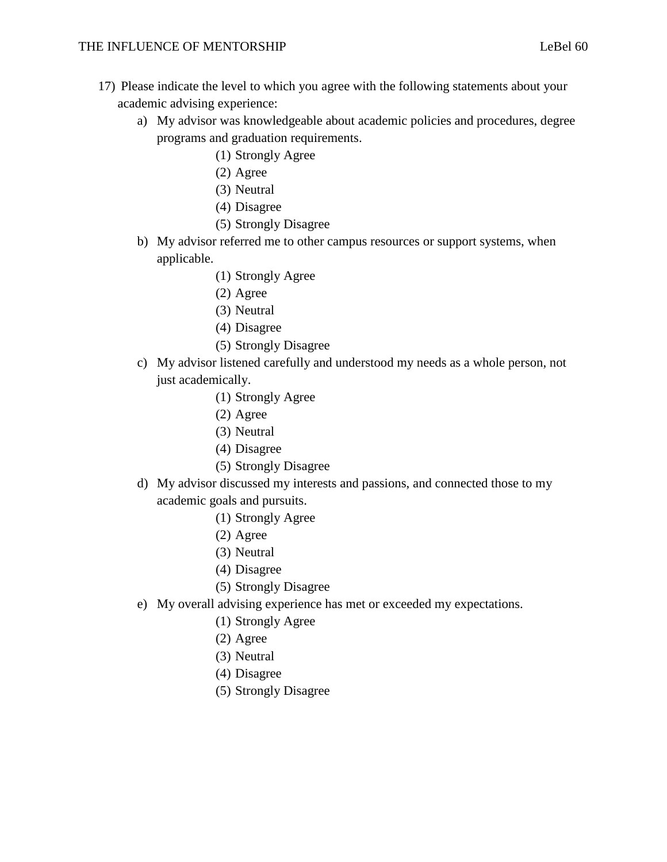- 17) Please indicate the level to which you agree with the following statements about your academic advising experience:
	- a) My advisor was knowledgeable about academic policies and procedures, degree programs and graduation requirements.
		- (1) Strongly Agree
		- (2) Agree
		- (3) Neutral
		- (4) Disagree
		- (5) Strongly Disagree
	- b) My advisor referred me to other campus resources or support systems, when applicable.
		- (1) Strongly Agree
		- (2) Agree
		- (3) Neutral
		- (4) Disagree
		- (5) Strongly Disagree
	- c) My advisor listened carefully and understood my needs as a whole person, not just academically.
		- (1) Strongly Agree
		- (2) Agree
		- (3) Neutral
		- (4) Disagree
		- (5) Strongly Disagree
	- d) My advisor discussed my interests and passions, and connected those to my academic goals and pursuits.
		- (1) Strongly Agree
		- (2) Agree
		- (3) Neutral
		- (4) Disagree
		- (5) Strongly Disagree
	- e) My overall advising experience has met or exceeded my expectations.
		- (1) Strongly Agree
		- (2) Agree
		- (3) Neutral
		- (4) Disagree
		- (5) Strongly Disagree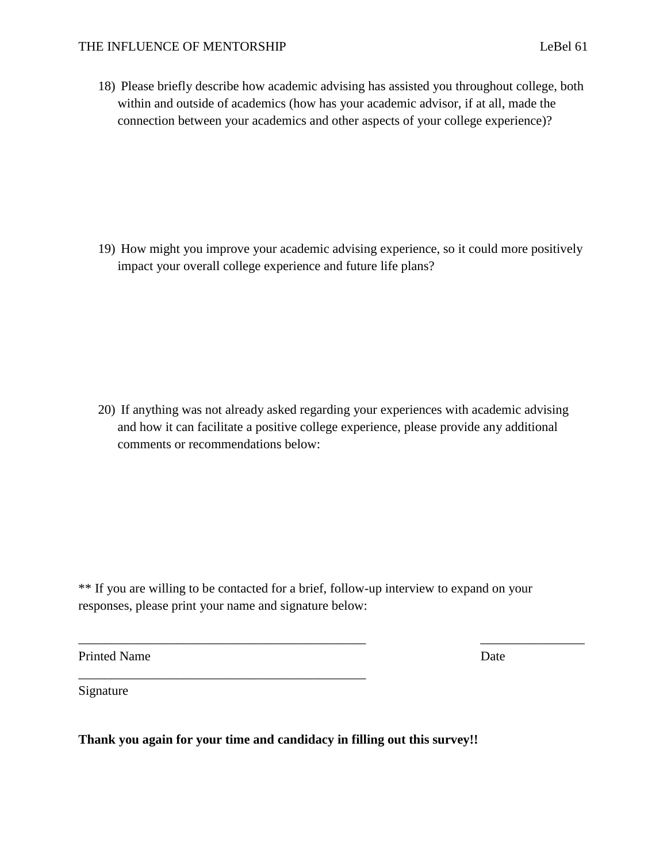18) Please briefly describe how academic advising has assisted you throughout college, both within and outside of academics (how has your academic advisor, if at all, made the connection between your academics and other aspects of your college experience)?

19) How might you improve your academic advising experience, so it could more positively impact your overall college experience and future life plans?

20) If anything was not already asked regarding your experiences with academic advising and how it can facilitate a positive college experience, please provide any additional comments or recommendations below:

\*\* If you are willing to be contacted for a brief, follow-up interview to expand on your responses, please print your name and signature below:

 $\overline{\phantom{a}}$  , and the contribution of the contribution of the contribution of the contribution of the contribution of the contribution of the contribution of the contribution of the contribution of the contribution of the

Printed Name Date

Signature

**Thank you again for your time and candidacy in filling out this survey!!**

\_\_\_\_\_\_\_\_\_\_\_\_\_\_\_\_\_\_\_\_\_\_\_\_\_\_\_\_\_\_\_\_\_\_\_\_\_\_\_\_\_\_\_\_